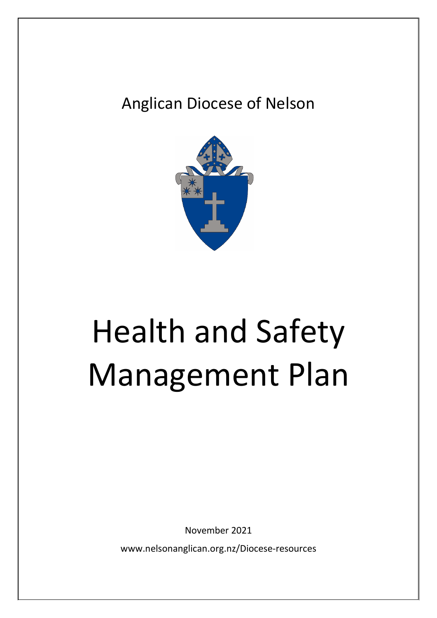# Anglican Diocese of Nelson



# Health and Safety Management Plan

November 2021

www.nelsonanglican.org.nz/Diocese-resources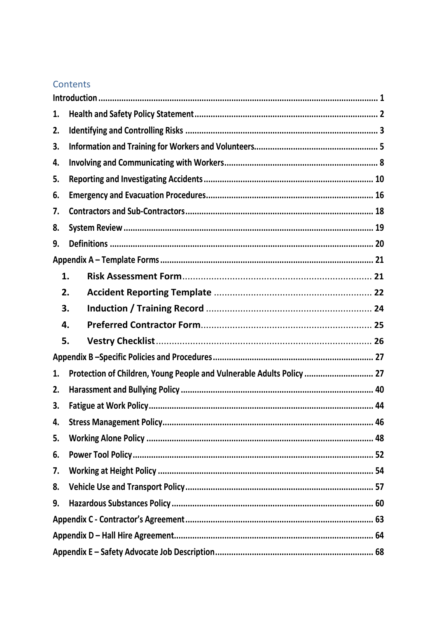### Contents

| 1. |                                                                       |  |  |  |  |
|----|-----------------------------------------------------------------------|--|--|--|--|
| 2. |                                                                       |  |  |  |  |
| 3. |                                                                       |  |  |  |  |
| 4. |                                                                       |  |  |  |  |
| 5. |                                                                       |  |  |  |  |
| 6. |                                                                       |  |  |  |  |
| 7. |                                                                       |  |  |  |  |
| 8. |                                                                       |  |  |  |  |
| 9. |                                                                       |  |  |  |  |
|    |                                                                       |  |  |  |  |
| 1. |                                                                       |  |  |  |  |
| 2. |                                                                       |  |  |  |  |
| 3. |                                                                       |  |  |  |  |
| 4. |                                                                       |  |  |  |  |
| 5. |                                                                       |  |  |  |  |
|    |                                                                       |  |  |  |  |
| 1. | Protection of Children, Young People and Vulnerable Adults Policy  27 |  |  |  |  |
| 2. |                                                                       |  |  |  |  |
| 3. |                                                                       |  |  |  |  |
| 4. |                                                                       |  |  |  |  |
| 5. |                                                                       |  |  |  |  |
| 6. |                                                                       |  |  |  |  |
| 7. |                                                                       |  |  |  |  |
| 8. |                                                                       |  |  |  |  |
| 9. |                                                                       |  |  |  |  |
|    |                                                                       |  |  |  |  |
|    |                                                                       |  |  |  |  |
|    |                                                                       |  |  |  |  |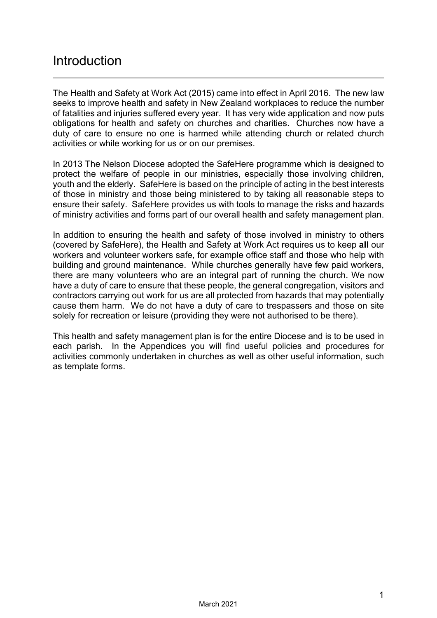# <span id="page-2-0"></span>Introduction

The Health and Safety at Work Act (2015) came into effect in April 2016. The new law seeks to improve health and safety in New Zealand workplaces to reduce the number of fatalities and injuries suffered every year. It has very wide application and now puts obligations for health and safety on churches and charities. Churches now have a duty of care to ensure no one is harmed while attending church or related church activities or while working for us or on our premises.

In 2013 The Nelson Diocese adopted the SafeHere programme which is designed to protect the welfare of people in our ministries, especially those involving children, youth and the elderly. SafeHere is based on the principle of acting in the best interests of those in ministry and those being ministered to by taking all reasonable steps to ensure their safety. SafeHere provides us with tools to manage the risks and hazards of ministry activities and forms part of our overall health and safety management plan.

In addition to ensuring the health and safety of those involved in ministry to others (covered by SafeHere), the Health and Safety at Work Act requires us to keep **all** our workers and volunteer workers safe, for example office staff and those who help with building and ground maintenance. While churches generally have few paid workers, there are many volunteers who are an integral part of running the church. We now have a duty of care to ensure that these people, the general congregation, visitors and contractors carrying out work for us are all protected from hazards that may potentially cause them harm. We do not have a duty of care to trespassers and those on site solely for recreation or leisure (providing they were not authorised to be there).

This health and safety management plan is for the entire Diocese and is to be used in each parish. In the Appendices you will find useful policies and procedures for activities commonly undertaken in churches as well as other useful information, such as template forms.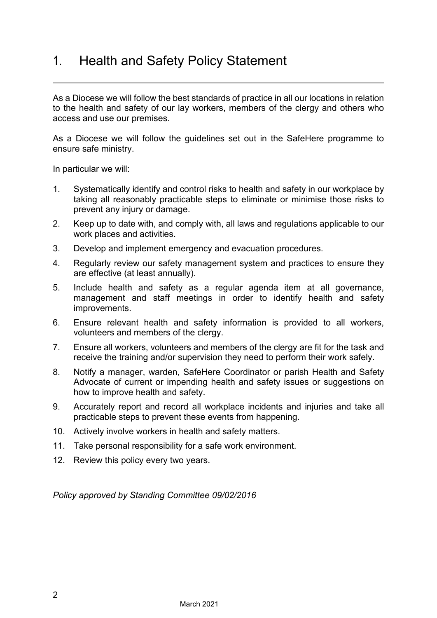# <span id="page-3-0"></span>1. Health and Safety Policy Statement

As a Diocese we will follow the best standards of practice in all our locations in relation to the health and safety of our lay workers, members of the clergy and others who access and use our premises.

As a Diocese we will follow the guidelines set out in the SafeHere programme to ensure safe ministry.

In particular we will:

- 1. Systematically identify and control risks to health and safety in our workplace by taking all reasonably practicable steps to eliminate or minimise those risks to prevent any injury or damage.
- 2. Keep up to date with, and comply with, all laws and regulations applicable to our work places and activities.
- 3. Develop and implement emergency and evacuation procedures.
- 4. Regularly review our safety management system and practices to ensure they are effective (at least annually).
- 5. Include health and safety as a regular agenda item at all governance, management and staff meetings in order to identify health and safety improvements.
- 6. Ensure relevant health and safety information is provided to all workers, volunteers and members of the clergy.
- 7. Ensure all workers, volunteers and members of the clergy are fit for the task and receive the training and/or supervision they need to perform their work safely.
- 8. Notify a manager, warden, SafeHere Coordinator or parish Health and Safety Advocate of current or impending health and safety issues or suggestions on how to improve health and safety.
- 9. Accurately report and record all workplace incidents and injuries and take all practicable steps to prevent these events from happening.
- 10. Actively involve workers in health and safety matters.
- 11. Take personal responsibility for a safe work environment.
- 12. Review this policy every two years.

*Policy approved by Standing Committee 09/02/2016*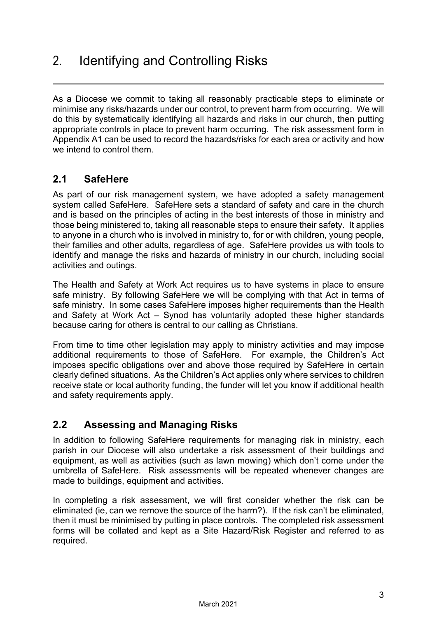<span id="page-4-0"></span>As a Diocese we commit to taking all reasonably practicable steps to eliminate or minimise any risks/hazards under our control, to prevent harm from occurring. We will do this by systematically identifying all hazards and risks in our church, then putting appropriate controls in place to prevent harm occurring. The risk assessment form in Appendix A1 can be used to record the hazards/risks for each area or activity and how we intend to control them.

### **2.1 SafeHere**

As part of our risk management system, we have adopted a safety management system called SafeHere. SafeHere sets a standard of safety and care in the church and is based on the principles of acting in the best interests of those in ministry and those being ministered to, taking all reasonable steps to ensure their safety. It applies to anyone in a church who is involved in ministry to, for or with children, young people, their families and other adults, regardless of age. SafeHere provides us with tools to identify and manage the risks and hazards of ministry in our church, including social activities and outings.

The Health and Safety at Work Act requires us to have systems in place to ensure safe ministry. By following SafeHere we will be complying with that Act in terms of safe ministry. In some cases SafeHere imposes higher requirements than the Health and Safety at Work Act – Synod has voluntarily adopted these higher standards because caring for others is central to our calling as Christians.

From time to time other legislation may apply to ministry activities and may impose additional requirements to those of SafeHere. For example, the Children's Act imposes specific obligations over and above those required by SafeHere in certain clearly defined situations. As the Children's Act applies only where services to children receive state or local authority funding, the funder will let you know if additional health and safety requirements apply.

### **2.2 Assessing and Managing Risks**

In addition to following SafeHere requirements for managing risk in ministry, each parish in our Diocese will also undertake a risk assessment of their buildings and equipment, as well as activities (such as lawn mowing) which don't come under the umbrella of SafeHere. Risk assessments will be repeated whenever changes are made to buildings, equipment and activities.

In completing a risk assessment, we will first consider whether the risk can be eliminated (ie, can we remove the source of the harm?). If the risk can't be eliminated, then it must be minimised by putting in place controls. The completed risk assessment forms will be collated and kept as a Site Hazard/Risk Register and referred to as required.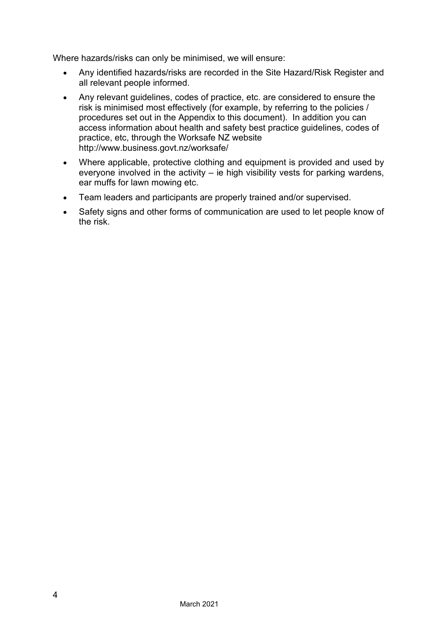Where hazards/risks can only be minimised, we will ensure:

- Any identified hazards/risks are recorded in the Site Hazard/Risk Register and all relevant people informed.
- Any relevant guidelines, codes of practice, etc. are considered to ensure the risk is minimised most effectively (for example, by referring to the policies / procedures set out in the Appendix to this document). In addition you can access information about health and safety best practice guidelines, codes of practice, etc, through the Worksafe NZ website <http://www.business.govt.nz/worksafe/>
- Where applicable, protective clothing and equipment is provided and used by everyone involved in the activity – ie high visibility vests for parking wardens, ear muffs for lawn mowing etc.
- Team leaders and participants are properly trained and/or supervised.
- Safety signs and other forms of communication are used to let people know of the risk.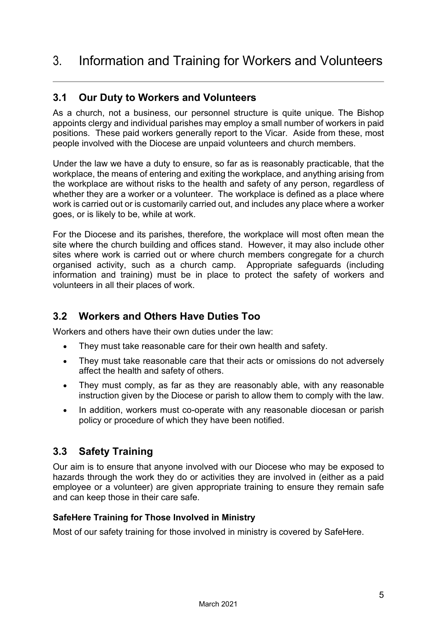#### <span id="page-6-0"></span>**3.1 Our Duty to Workers and Volunteers**

As a church, not a business, our personnel structure is quite unique. The Bishop appoints clergy and individual parishes may employ a small number of workers in paid positions. These paid workers generally report to the Vicar. Aside from these, most people involved with the Diocese are unpaid volunteers and church members.

Under the law we have a duty to ensure, so far as is reasonably practicable, that the workplace, the means of entering and exiting the workplace, and anything arising from the workplace are without risks to the health and safety of any person, regardless of whether they are a worker or a volunteer. The workplace is defined as a place where work is carried out or is customarily carried out, and includes any place where a worker goes, or is likely to be, while at work.

For the Diocese and its parishes, therefore, the workplace will most often mean the site where the church building and offices stand. However, it may also include other sites where work is carried out or where church members congregate for a church organised activity, such as a church camp. Appropriate safeguards (including information and training) must be in place to protect the safety of workers and volunteers in all their places of work.

### **3.2 Workers and Others Have Duties Too**

Workers and others have their own duties under the law:

- They must take reasonable care for their own health and safety.
- They must take reasonable care that their acts or omissions do not adversely affect the health and safety of others.
- They must comply, as far as they are reasonably able, with any reasonable instruction given by the Diocese or parish to allow them to comply with the law.
- In addition, workers must co-operate with any reasonable diocesan or parish policy or procedure of which they have been notified.

### **3.3 Safety Training**

Our aim is to ensure that anyone involved with our Diocese who may be exposed to hazards through the work they do or activities they are involved in (either as a paid employee or a volunteer) are given appropriate training to ensure they remain safe and can keep those in their care safe.

#### **SafeHere Training for Those Involved in Ministry**

Most of our safety training for those involved in ministry is covered by SafeHere.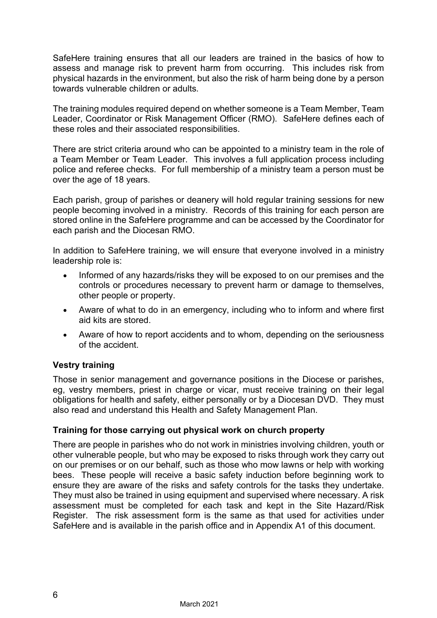SafeHere training ensures that all our leaders are trained in the basics of how to assess and manage risk to prevent harm from occurring. This includes risk from physical hazards in the environment, but also the risk of harm being done by a person towards vulnerable children or adults.

The training modules required depend on whether someone is a Team Member, Team Leader, Coordinator or Risk Management Officer (RMO). SafeHere defines each of these roles and their associated responsibilities.

There are strict criteria around who can be appointed to a ministry team in the role of a Team Member or Team Leader. This involves a full application process including police and referee checks. For full membership of a ministry team a person must be over the age of 18 years.

Each parish, group of parishes or deanery will hold regular training sessions for new people becoming involved in a ministry. Records of this training for each person are stored online in the SafeHere programme and can be accessed by the Coordinator for each parish and the Diocesan RMO.

In addition to SafeHere training, we will ensure that everyone involved in a ministry leadership role is:

- Informed of any hazards/risks they will be exposed to on our premises and the controls or procedures necessary to prevent harm or damage to themselves, other people or property.
- Aware of what to do in an emergency, including who to inform and where first aid kits are stored.
- Aware of how to report accidents and to whom, depending on the seriousness of the accident.

#### **Vestry training**

Those in senior management and governance positions in the Diocese or parishes, eg, vestry members, priest in charge or vicar, must receive training on their legal obligations for health and safety, either personally or by a Diocesan DVD. They must also read and understand this Health and Safety Management Plan.

#### **Training for those carrying out physical work on church property**

There are people in parishes who do not work in ministries involving children, youth or other vulnerable people, but who may be exposed to risks through work they carry out on our premises or on our behalf, such as those who mow lawns or help with working bees. These people will receive a basic safety induction before beginning work to ensure they are aware of the risks and safety controls for the tasks they undertake. They must also be trained in using equipment and supervised where necessary. A risk assessment must be completed for each task and kept in the Site Hazard/Risk Register. The risk assessment form is the same as that used for activities under SafeHere and is available in the parish office and in Appendix A1 of this document.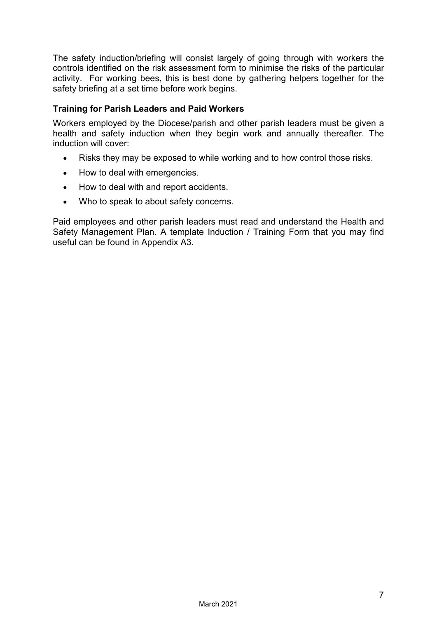The safety induction/briefing will consist largely of going through with workers the controls identified on the risk assessment form to minimise the risks of the particular activity. For working bees, this is best done by gathering helpers together for the safety briefing at a set time before work begins.

#### **Training for Parish Leaders and Paid Workers**

Workers employed by the Diocese/parish and other parish leaders must be given a health and safety induction when they begin work and annually thereafter. The induction will cover:

- Risks they may be exposed to while working and to how control those risks.
- How to deal with emergencies.
- How to deal with and report accidents.
- Who to speak to about safety concerns.

Paid employees and other parish leaders must read and understand the Health and Safety Management Plan. A template Induction / Training Form that you may find useful can be found in Appendix A3.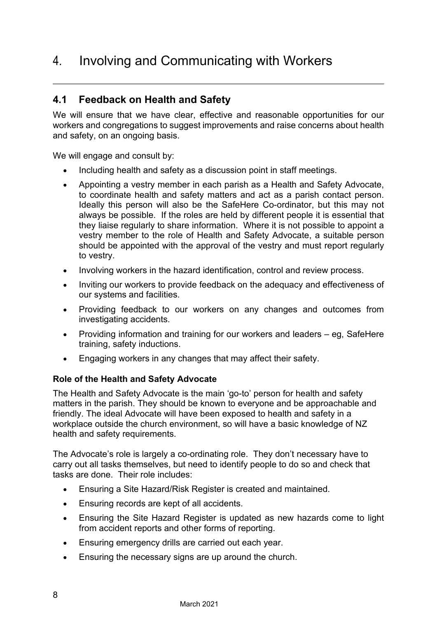# <span id="page-9-0"></span>4. Involving and Communicating with Workers

#### **4.1 Feedback on Health and Safety**

We will ensure that we have clear, effective and reasonable opportunities for our workers and congregations to suggest improvements and raise concerns about health and safety, on an ongoing basis.

We will engage and consult by:

- Including health and safety as a discussion point in staff meetings.
- Appointing a vestry member in each parish as a Health and Safety Advocate, to coordinate health and safety matters and act as a parish contact person. Ideally this person will also be the SafeHere Co-ordinator, but this may not always be possible. If the roles are held by different people it is essential that they liaise regularly to share information. Where it is not possible to appoint a vestry member to the role of Health and Safety Advocate, a suitable person should be appointed with the approval of the vestry and must report regularly to vestry.
- Involving workers in the hazard identification, control and review process.
- Inviting our workers to provide feedback on the adequacy and effectiveness of our systems and facilities.
- Providing feedback to our workers on any changes and outcomes from investigating accidents.
- Providing information and training for our workers and leaders eg, SafeHere training, safety inductions.
- Engaging workers in any changes that may affect their safety.

#### **Role of the Health and Safety Advocate**

The Health and Safety Advocate is the main 'go-to' person for health and safety matters in the parish. They should be known to everyone and be approachable and friendly. The ideal Advocate will have been exposed to health and safety in a workplace outside the church environment, so will have a basic knowledge of NZ health and safety requirements.

The Advocate's role is largely a co-ordinating role. They don't necessary have to carry out all tasks themselves, but need to identify people to do so and check that tasks are done. Their role includes:

- Ensuring a Site Hazard/Risk Register is created and maintained.
- Ensuring records are kept of all accidents.
- Ensuring the Site Hazard Register is updated as new hazards come to light from accident reports and other forms of reporting.
- Ensuring emergency drills are carried out each year.
- Ensuring the necessary signs are up around the church.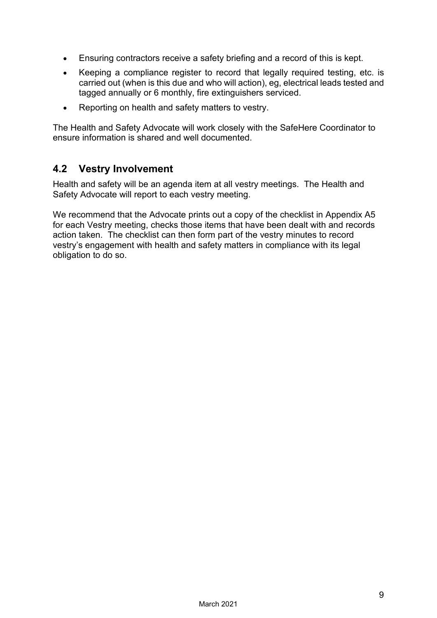- Ensuring contractors receive a safety briefing and a record of this is kept.
- Keeping a compliance register to record that legally required testing, etc. is carried out (when is this due and who will action), eg, electrical leads tested and tagged annually or 6 monthly, fire extinguishers serviced.
- Reporting on health and safety matters to vestry.

The Health and Safety Advocate will work closely with the SafeHere Coordinator to ensure information is shared and well documented.

#### **4.2 Vestry Involvement**

Health and safety will be an agenda item at all vestry meetings. The Health and Safety Advocate will report to each vestry meeting.

We recommend that the Advocate prints out a copy of the checklist in Appendix A5 for each Vestry meeting, checks those items that have been dealt with and records action taken. The checklist can then form part of the vestry minutes to record vestry's engagement with health and safety matters in compliance with its legal obligation to do so.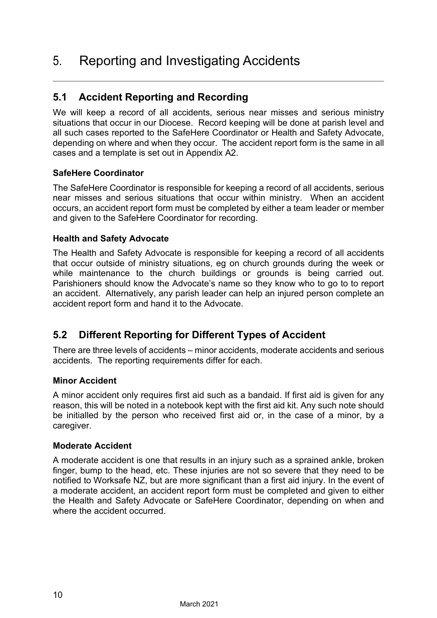# <span id="page-11-0"></span>5. Reporting and Investigating Accidents

### **5.1 Accident Reporting and Recording**

We will keep a record of all accidents, serious near misses and serious ministry situations that occur in our Diocese. Record keeping will be done at parish level and all such cases reported to the SafeHere Coordinator or Health and Safety Advocate, depending on where and when they occur. The accident report form is the same in all cases and a template is set out in Appendix A2.

#### **SafeHere Coordinator**

The SafeHere Coordinator is responsible for keeping a record of all accidents, serious near misses and serious situations that occur within ministry. When an accident occurs, an accident report form must be completed by either a team leader or member and given to the SafeHere Coordinator for recording.

#### **Health and Safety Advocate**

The Health and Safety Advocate is responsible for keeping a record of all accidents that occur outside of ministry situations, eg on church grounds during the week or while maintenance to the church buildings or grounds is being carried out. Parishioners should know the Advocate's name so they know who to go to to report an accident. Alternatively, any parish leader can help an injured person complete an accident report form and hand it to the Advocate.

### **5.2 Different Reporting for Different Types of Accident**

There are three levels of accidents – minor accidents, moderate accidents and serious accidents. The reporting requirements differ for each.

#### **Minor Accident**

A minor accident only requires first aid such as a bandaid. If first aid is given for any reason, this will be noted in a notebook kept with the first aid kit. Any such note should be initialled by the person who received first aid or, in the case of a minor, by a caregiver.

#### **Moderate Accident**

A moderate accident is one that results in an injury such as a sprained ankle, broken finger, bump to the head, etc. These injuries are not so severe that they need to be notified to Worksafe NZ, but are more significant than a first aid injury. In the event of a moderate accident, an accident report form must be completed and given to either the Health and Safety Advocate or SafeHere Coordinator, depending on when and where the accident occurred.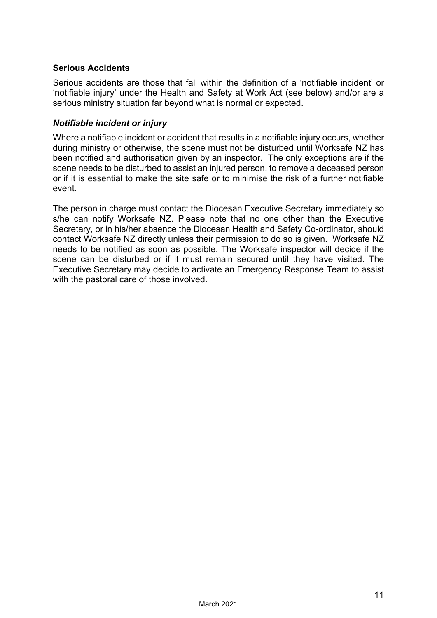#### **Serious Accidents**

Serious accidents are those that fall within the definition of a 'notifiable incident' or 'notifiable injury' under the Health and Safety at Work Act (see below) and/or are a serious ministry situation far beyond what is normal or expected.

#### *Notifiable incident or injury*

Where a notifiable incident or accident that results in a notifiable injury occurs, whether during ministry or otherwise, the scene must not be disturbed until Worksafe NZ has been notified and authorisation given by an inspector. The only exceptions are if the scene needs to be disturbed to assist an injured person, to remove a deceased person or if it is essential to make the site safe or to minimise the risk of a further notifiable event.

The person in charge must contact the Diocesan Executive Secretary immediately so s/he can notify Worksafe NZ. Please note that no one other than the Executive Secretary, or in his/her absence the Diocesan Health and Safety Co-ordinator, should contact Worksafe NZ directly unless their permission to do so is given. Worksafe NZ needs to be notified as soon as possible. The Worksafe inspector will decide if the scene can be disturbed or if it must remain secured until they have visited. The Executive Secretary may decide to activate an Emergency Response Team to assist with the pastoral care of those involved.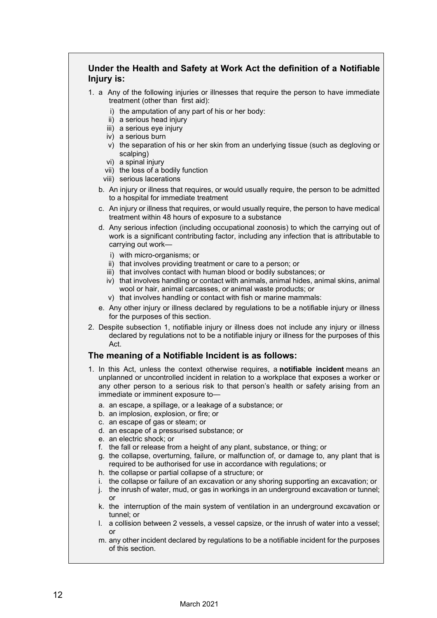#### **Under the Health and Safety at Work Act the definition of a Notifiable Injury is:**

- 1. a Any of the following injuries or illnesses that require the person to have immediate treatment (other than first aid):
	- i) the amputation of any part of his or her body:
	- ii) a serious head injury
	- iii) a serious eye injury
	- iv) a serious burn
	- v) the separation of his or her skin from an underlying tissue (such as degloving or scalping)
	- vi) a spinal injury
	- vii) the loss of a bodily function
	- viii) serious lacerations
	- b. An injury or illness that requires, or would usually require, the person to be admitted to a hospital for immediate treatment
	- c. An injury or illness that requires, or would usually require, the person to have medical treatment within 48 hours of exposure to a substance
	- d. Any serious infection (including occupational zoonosis) to which the carrying out of work is a significant contributing factor, including any infection that is attributable to carrying out work
		- i) with micro-organisms; or
		- ii) that involves providing treatment or care to a person; or
		- iii) that involves contact with human blood or bodily substances; or
		- iv) that involves handling or contact with animals, animal hides, animal skins, animal wool or hair, animal carcasses, or animal waste products; or
		- v) that involves handling or contact with fish or marine mammals:
	- e. Any other injury or illness declared by regulations to be a notifiable injury or illness for the purposes of this section.
- 2. Despite subsection 1, notifiable injury or illness does not include any injury or illness declared by regulations not to be a notifiable injury or illness for the purposes of this Act.

#### **The meaning of a Notifiable Incident is as follows:**

- 1. In this Act, unless the context otherwise requires, a **notifiable incident** means an unplanned or uncontrolled incident in relation to a workplace that exposes a worker or any other person to a serious risk to that person's health or safety arising from an immediate or imminent exposure to
	- a. an escape, a spillage, or a leakage of a substance; or
	- b. an implosion, explosion, or fire; or
	- c. an escape of gas or steam; or
	- d. an escape of a pressurised substance; or
	- e. an electric shock; or
	- f. the fall or release from a height of any plant, substance, or thing; or
	- g. the collapse, overturning, failure, or malfunction of, or damage to, any plant that is required to be authorised for use in accordance with regulations; or
	- h. the collapse or partial collapse of a structure; or
	- i. the collapse or failure of an excavation or any shoring supporting an excavation; or
	- j. the inrush of water, mud, or gas in workings in an underground excavation or tunnel; or
	- k. the interruption of the main system of ventilation in an underground excavation or tunnel; or
	- l. a collision between 2 vessels, a vessel capsize, or the inrush of water into a vessel; or
	- m. any other incident declared by regulations to be a notifiable incident for the purposes of this section.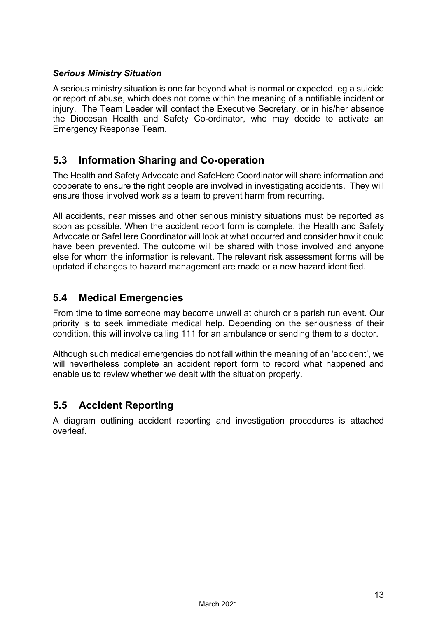#### *Serious Ministry Situation*

A serious ministry situation is one far beyond what is normal or expected, eg a suicide or report of abuse, which does not come within the meaning of a notifiable incident or injury. The Team Leader will contact the Executive Secretary, or in his/her absence the Diocesan Health and Safety Co-ordinator, who may decide to activate an Emergency Response Team.

### **5.3 Information Sharing and Co-operation**

The Health and Safety Advocate and SafeHere Coordinator will share information and cooperate to ensure the right people are involved in investigating accidents. They will ensure those involved work as a team to prevent harm from recurring.

All accidents, near misses and other serious ministry situations must be reported as soon as possible. When the accident report form is complete, the Health and Safety Advocate or SafeHere Coordinator will look at what occurred and consider how it could have been prevented. The outcome will be shared with those involved and anyone else for whom the information is relevant. The relevant risk assessment forms will be updated if changes to hazard management are made or a new hazard identified.

#### **5.4 Medical Emergencies**

From time to time someone may become unwell at church or a parish run event. Our priority is to seek immediate medical help. Depending on the seriousness of their condition, this will involve calling 111 for an ambulance or sending them to a doctor.

Although such medical emergencies do not fall within the meaning of an 'accident', we will nevertheless complete an accident report form to record what happened and enable us to review whether we dealt with the situation properly.

### **5.5 Accident Reporting**

A diagram outlining accident reporting and investigation procedures is attached overleaf.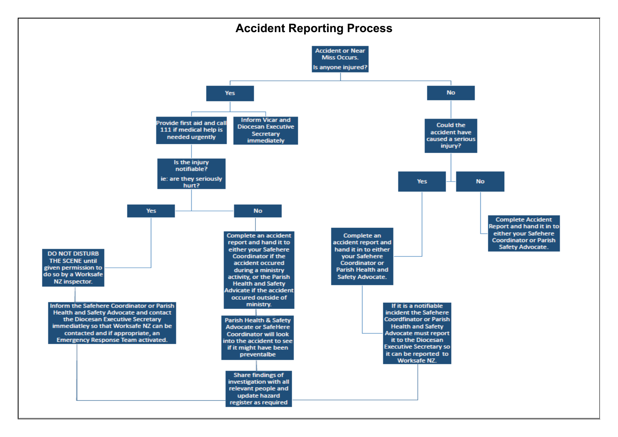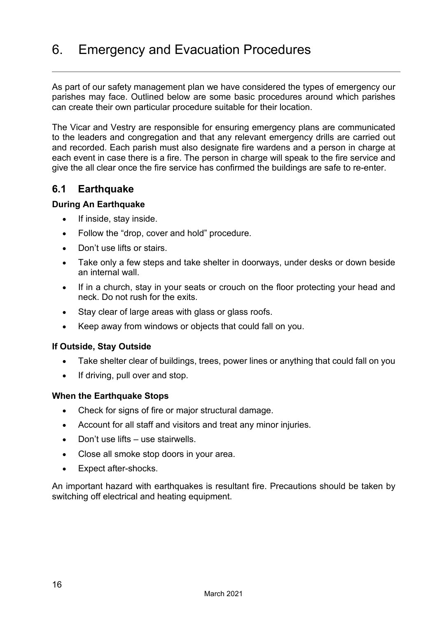# <span id="page-17-0"></span>6. Emergency and Evacuation Procedures

As part of our safety management plan we have considered the types of emergency our parishes may face. Outlined below are some basic procedures around which parishes can create their own particular procedure suitable for their location.

The Vicar and Vestry are responsible for ensuring emergency plans are communicated to the leaders and congregation and that any relevant emergency drills are carried out and recorded. Each parish must also designate fire wardens and a person in charge at each event in case there is a fire. The person in charge will speak to the fire service and give the all clear once the fire service has confirmed the buildings are safe to re-enter.

#### **6.1 Earthquake**

#### **During An Earthquake**

- If inside, stay inside.
- Follow the "drop, cover and hold" procedure.
- Don't use lifts or stairs.
- Take only a few steps and take shelter in doorways, under desks or down beside an internal wall.
- If in a church, stay in your seats or crouch on the floor protecting your head and neck. Do not rush for the exits.
- Stay clear of large areas with glass or glass roofs.
- Keep away from windows or objects that could fall on you.

#### **If Outside, Stay Outside**

- Take shelter clear of buildings, trees, power lines or anything that could fall on you
- If driving, pull over and stop.

#### **When the Earthquake Stops**

- Check for signs of fire or major structural damage.
- Account for all staff and visitors and treat any minor injuries.
- Don't use lifts use stairwells.
- Close all smoke stop doors in your area.
- Expect after-shocks.

An important hazard with earthquakes is resultant fire. Precautions should be taken by switching off electrical and heating equipment.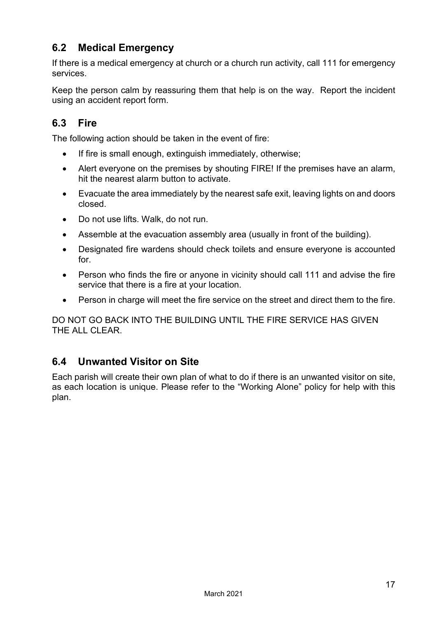### **6.2 Medical Emergency**

If there is a medical emergency at church or a church run activity, call 111 for emergency services.

Keep the person calm by reassuring them that help is on the way. Report the incident using an accident report form.

### **6.3 Fire**

The following action should be taken in the event of fire:

- If fire is small enough, extinguish immediately, otherwise;
- Alert everyone on the premises by shouting FIRE! If the premises have an alarm, hit the nearest alarm button to activate.
- Evacuate the area immediately by the nearest safe exit, leaving lights on and doors closed.
- Do not use lifts. Walk, do not run.
- Assemble at the evacuation assembly area (usually in front of the building).
- Designated fire wardens should check toilets and ensure everyone is accounted for.
- Person who finds the fire or anyone in vicinity should call 111 and advise the fire service that there is a fire at your location.
- Person in charge will meet the fire service on the street and direct them to the fire.

DO NOT GO BACK INTO THE BUILDING UNTIL THE FIRE SERVICE HAS GIVEN THE ALL CLEAR.

### **6.4 Unwanted Visitor on Site**

Each parish will create their own plan of what to do if there is an unwanted visitor on site, as each location is unique. Please refer to the "Working Alone" policy for help with this plan.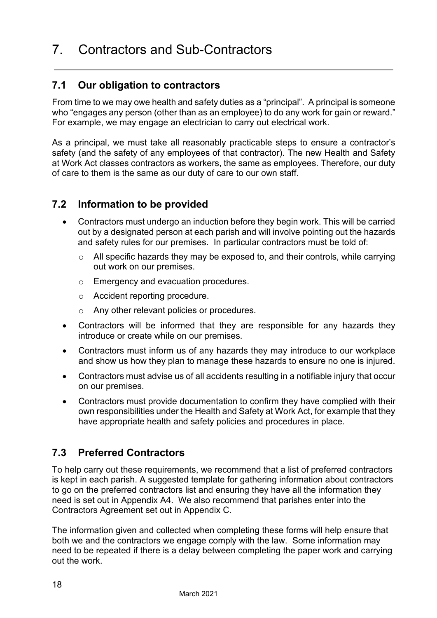### <span id="page-19-0"></span>**7.1 Our obligation to contractors**

From time to we may owe health and safety duties as a "principal". A principal is someone who "engages any person (other than as an employee) to do any work for gain or reward." For example, we may engage an electrician to carry out electrical work.

As a principal, we must take all reasonably practicable steps to ensure a contractor's safety (and the safety of any employees of that contractor). The new Health and Safety at Work Act classes contractors as workers, the same as employees. Therefore, our duty of care to them is the same as our duty of care to our own staff.

### **7.2 Information to be provided**

- Contractors must undergo an induction before they begin work. This will be carried out by a designated person at each parish and will involve pointing out the hazards and safety rules for our premises. In particular contractors must be told of:
	- $\circ$  All specific hazards they may be exposed to, and their controls, while carrying out work on our premises.
	- o Emergency and evacuation procedures.
	- o Accident reporting procedure.
	- o Any other relevant policies or procedures.
- Contractors will be informed that they are responsible for any hazards they introduce or create while on our premises.
- Contractors must inform us of any hazards they may introduce to our workplace and show us how they plan to manage these hazards to ensure no one is injured.
- Contractors must advise us of all accidents resulting in a notifiable injury that occur on our premises.
- Contractors must provide documentation to confirm they have complied with their own responsibilities under the Health and Safety at Work Act, for example that they have appropriate health and safety policies and procedures in place.

### **7.3 Preferred Contractors**

To help carry out these requirements, we recommend that a list of preferred contractors is kept in each parish. A suggested template for gathering information about contractors to go on the preferred contractors list and ensuring they have all the information they need is set out in Appendix A4. We also recommend that parishes enter into the Contractors Agreement set out in Appendix C.

The information given and collected when completing these forms will help ensure that both we and the contractors we engage comply with the law. Some information may need to be repeated if there is a delay between completing the paper work and carrying out the work.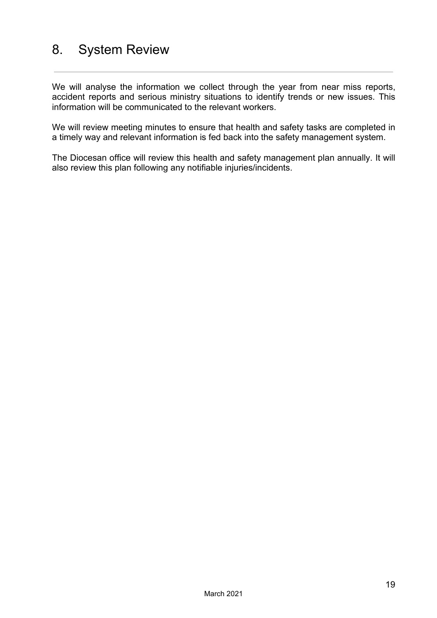# <span id="page-20-0"></span>8. System Review

We will analyse the information we collect through the year from near miss reports, accident reports and serious ministry situations to identify trends or new issues. This information will be communicated to the relevant workers.

We will review meeting minutes to ensure that health and safety tasks are completed in a timely way and relevant information is fed back into the safety management system.

The Diocesan office will review this health and safety management plan annually. It will also review this plan following any notifiable injuries/incidents.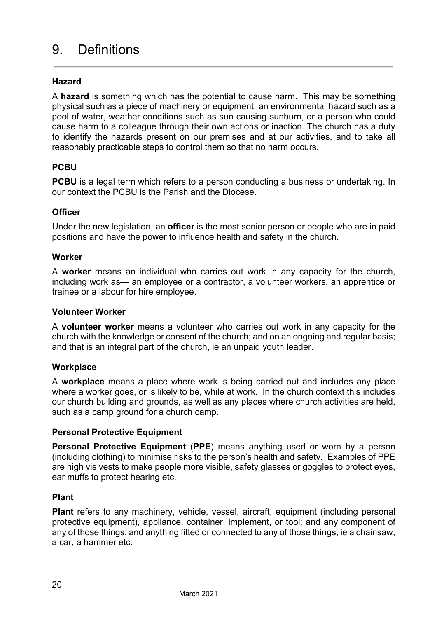# <span id="page-21-0"></span>9. Definitions

#### **Hazard**

A **hazard** is something which has the potential to cause harm. This may be something physical such as a piece of machinery or equipment, an environmental hazard such as a pool of water, weather conditions such as sun causing sunburn, or a person who could cause harm to a colleague through their own actions or inaction. The church has a duty to identify the hazards present on our premises and at our activities, and to take all reasonably practicable steps to control them so that no harm occurs.

#### **PCBU**

**PCBU** is a legal term which refers to a person conducting a business or undertaking. In our context the PCBU is the Parish and the Diocese.

#### **Officer**

Under the new legislation, an **officer** is the most senior person or people who are in paid positions and have the power to influence health and safety in the church.

#### **Worker**

A **worker** means an individual who carries out work in any capacity for the church, including work as— an employee or a contractor, a volunteer workers, an apprentice or trainee or a labour for hire employee.

#### **Volunteer Worker**

A **volunteer worker** means a volunteer who carries out work in any capacity for the church with the knowledge or consent of the church; and on an ongoing and regular basis; and that is an integral part of the church, ie an unpaid youth leader.

#### **Workplace**

A **workplace** means a place where work is being carried out and includes any place where a worker goes, or is likely to be, while at work. In the church context this includes our church building and grounds, as well as any places where church activities are held, such as a camp ground for a church camp.

#### **Personal Protective Equipment**

**Personal Protective Equipment** (**PPE**) means anything used or worn by a person (including clothing) to minimise risks to the person's health and safety. Examples of PPE are high vis vests to make people more visible, safety glasses or goggles to protect eyes, ear muffs to protect hearing etc.

#### **Plant**

**Plant** refers to any machinery, vehicle, vessel, aircraft, equipment (including personal protective equipment), appliance, container, implement, or tool; and any component of any of those things; and anything fitted or connected to any of those things, ie a chainsaw, a car, a hammer etc.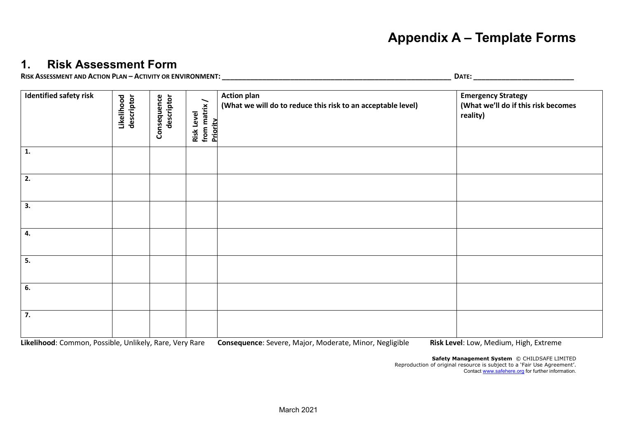### **Appendix A – Template Forms**

### **1. Risk Assessment Form**

RISK ASSESSMENT AND ACTION PLAN – ACTIVITY OR ENVIRONMENT:

<span id="page-22-0"></span>

| <b>Identified safety risk</b> | Likelihood<br>descriptor | descriptor<br>Consequence | from matrix/<br>Risk Level<br>Priority | <b>Action plan</b><br>(What we will do to reduce this risk to an acceptable level) | <b>Emergency Strategy</b><br>(What we'll do if this risk becomes<br>reality) |
|-------------------------------|--------------------------|---------------------------|----------------------------------------|------------------------------------------------------------------------------------|------------------------------------------------------------------------------|
| 1.                            |                          |                           |                                        |                                                                                    |                                                                              |
| $\overline{\phantom{a}}$ 2.   |                          |                           |                                        |                                                                                    |                                                                              |
| 3.                            |                          |                           |                                        |                                                                                    |                                                                              |
| 4.                            |                          |                           |                                        |                                                                                    |                                                                              |
| 5.                            |                          |                           |                                        |                                                                                    |                                                                              |
| 6.                            |                          |                           |                                        |                                                                                    |                                                                              |
| $\overline{7}$ .              |                          |                           |                                        |                                                                                    |                                                                              |

<span id="page-22-1"></span>**Likelihood**: Common, Possible, Unlikely, Rare, Very Rare **Consequence**: Severe, Major, Moderate, Minor, Negligible **Risk Level**: Low, Medium, High, Extreme

**Safety Management System** © CHILDSAFE LIMITED Reproduction of original resource is subject to a 'Fair Use Agreement'. Contact [www.safehere.org](http://www.safehere.org/) for further information.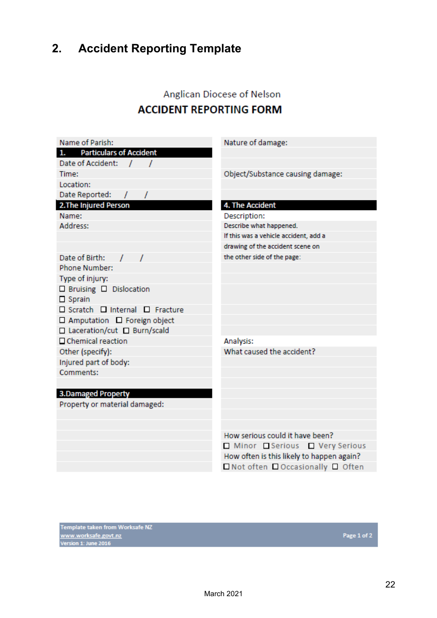# <span id="page-23-0"></span>**2. Accident Reporting Template**

### Anglican Diocese of Nelson **ACCIDENT REPORTING FORM**

| Name of Parish:                    | Nature of damage:                         |
|------------------------------------|-------------------------------------------|
| 1. Particulars of Accident         |                                           |
| Date of Accident: /                |                                           |
| Time:                              | Object/Substance causing damage:          |
| Location:                          |                                           |
| Date Reported: / /                 |                                           |
| 2. The Injured Person              | 4. The Accident                           |
| Name:                              | Description:                              |
| Address:                           | Describe what happened.                   |
|                                    | If this was a vehicle accident, add a     |
|                                    | drawing of the accident scene on          |
| Date of Birth: / /                 | the other side of the page:               |
| Phone Number:                      |                                           |
| Type of injury:                    |                                           |
| $\Box$ Bruising $\Box$ Dislocation |                                           |
| $\Box$ Sprain                      |                                           |
| □ Scratch □ Internal □ Fracture    |                                           |
| □ Amputation □ Foreign object      |                                           |
| □ Laceration/cut □ Burn/scald      |                                           |
| □ Chemical reaction                | Analysis:                                 |
| Other (specify):                   | What caused the accident?                 |
| Injured part of body:              |                                           |
| Comments:                          |                                           |
|                                    |                                           |
| <b>3.Damaged Property</b>          |                                           |
| Property or material damaged:      |                                           |
|                                    |                                           |
|                                    |                                           |
|                                    | How serious could it have been?           |
|                                    | Minor Serious Very Serious                |
|                                    | How often is this likely to happen again? |
|                                    | □ Not often □ Occasionally □ Often        |
|                                    |                                           |

Template taken from Worksafe NZ<br><u>www.worksafe.govt.nz</u><br>Version 1: June 2016

Page 1 of 2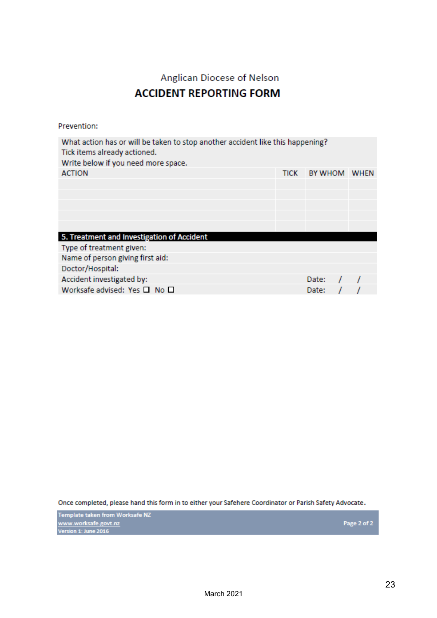### Anglican Diocese of Nelson

### **ACCIDENT REPORTING FORM**

Prevention:

| <b>BY WHOM</b><br><b>ACTION</b><br>TICK<br><b>WHEN</b> |
|--------------------------------------------------------|
|                                                        |
|                                                        |
|                                                        |
|                                                        |
|                                                        |
|                                                        |
| 5. Treatment and Investigation of Accident             |
| Type of treatment given:                               |
| Name of person giving first aid:                       |
| Doctor/Hospital:                                       |
| Accident investigated by:<br>Date:                     |
| Worksafe advised: Yes $\square$ No $\square$<br>Date:  |

Once completed, please hand this form in to either your Safehere Coordinator or Parish Safety Advocate.

Template taken from Worksafe NZ<br><u>www.worksafe.govt.nz</u><br>Version 1: June 2016

Page 2 of 2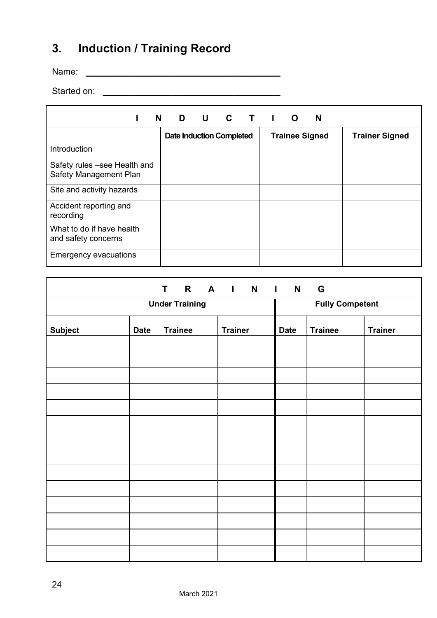# <span id="page-25-0"></span>**3. Induction / Training Record**

Name: **\_\_\_\_\_\_\_\_\_\_\_\_\_\_\_\_\_\_\_\_\_\_\_\_\_\_\_\_\_\_\_\_\_\_**

Started on: **\_\_\_\_\_\_\_\_\_\_\_\_\_\_\_\_\_\_\_\_\_\_\_\_\_\_\_\_\_\_\_**

| N                                                      | $\mathbf{D}$<br><b>U</b>        | C | <b>T</b> I O<br>N     |                       |
|--------------------------------------------------------|---------------------------------|---|-----------------------|-----------------------|
|                                                        | <b>Date Induction Completed</b> |   | <b>Trainee Signed</b> | <b>Trainer Signed</b> |
| Introduction                                           |                                 |   |                       |                       |
| Safety rules -see Health and<br>Safety Management Plan |                                 |   |                       |                       |
| Site and activity hazards                              |                                 |   |                       |                       |
| Accident reporting and<br>recording                    |                                 |   |                       |                       |
| What to do if have health<br>and safety concerns       |                                 |   |                       |                       |
| <b>Emergency evacuations</b>                           |                                 |   |                       |                       |

|                |                       |                | T R A I N I N          |             | G              |                |
|----------------|-----------------------|----------------|------------------------|-------------|----------------|----------------|
|                | <b>Under Training</b> |                | <b>Fully Competent</b> |             |                |                |
| <b>Subject</b> | <b>Date</b>           | <b>Trainee</b> | <b>Trainer</b>         | <b>Date</b> | <b>Trainee</b> | <b>Trainer</b> |
|                |                       |                |                        |             |                |                |
|                |                       |                |                        |             |                |                |
|                |                       |                |                        |             |                |                |
|                |                       |                |                        |             |                |                |
|                |                       |                |                        |             |                |                |
|                |                       |                |                        |             |                |                |
|                |                       |                |                        |             |                |                |
|                |                       |                |                        |             |                |                |
|                |                       |                |                        |             |                |                |
|                |                       |                |                        |             |                |                |
|                |                       |                |                        |             |                |                |
|                |                       |                |                        |             |                |                |
|                |                       |                |                        |             |                |                |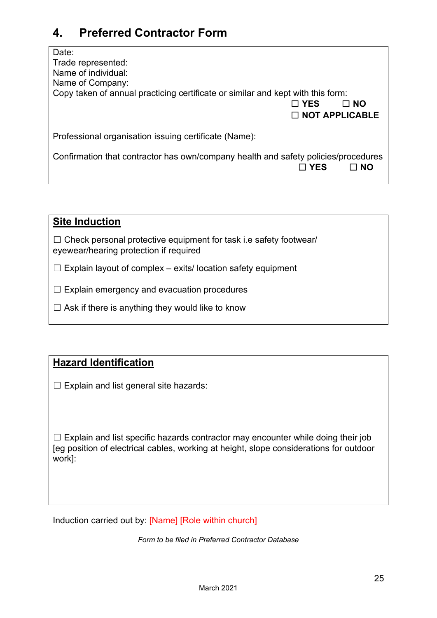### <span id="page-26-0"></span>**4. Preferred Contractor Form**

| Date:<br>Trade represented:<br>Name of individual:<br>Name of Company:<br>Copy taken of annual practicing certificate or similar and kept with this form:<br>$\Box$ YES<br>I NO<br>$\square$ NOT APPLICABLE |
|-------------------------------------------------------------------------------------------------------------------------------------------------------------------------------------------------------------|
| Professional organisation issuing certificate (Name):                                                                                                                                                       |
| Confirmation that contractor has own/company health and safety policies/procedures<br>$\sqcap$ YFS<br>⊟ NO                                                                                                  |

|--|

 $\Box$  Check personal protective equipment for task i.e safety footwear/ eyewear/hearing protection if required

- $\Box$  Explain layout of complex exits/ location safety equipment
- $\Box$  Explain emergency and evacuation procedures
- $\Box$  Ask if there is anything they would like to know

### **Hazard Identification**

 $\Box$  Explain and list general site hazards:

 $\Box$  Explain and list specific hazards contractor may encounter while doing their job [eg position of electrical cables, working at height, slope considerations for outdoor work]:

Induction carried out by: [Name] [Role within church]

*Form to be filed in Preferred Contractor Database*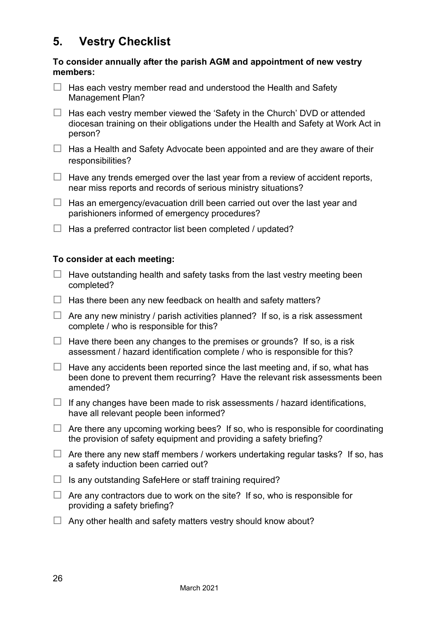### <span id="page-27-0"></span>**5. Vestry Checklist**

#### **To consider annually after the parish AGM and appointment of new vestry members:**

- $\Box$  Has each vestry member read and understood the Health and Safety Management Plan?
- $\Box$  Has each vestry member viewed the 'Safety in the Church' DVD or attended diocesan training on their obligations under the Health and Safety at Work Act in person?
- $\Box$  Has a Health and Safety Advocate been appointed and are they aware of their responsibilities?
- $\Box$  Have any trends emerged over the last year from a review of accident reports, near miss reports and records of serious ministry situations?
- $\Box$  Has an emergency/evacuation drill been carried out over the last year and parishioners informed of emergency procedures?
- $\Box$  Has a preferred contractor list been completed / updated?

#### **To consider at each meeting:**

- $\Box$  Have outstanding health and safety tasks from the last vestry meeting been completed?
- $\Box$  Has there been any new feedback on health and safety matters?
- $\Box$  Are any new ministry / parish activities planned? If so, is a risk assessment complete / who is responsible for this?
- $\Box$  Have there been any changes to the premises or grounds? If so, is a risk assessment / hazard identification complete / who is responsible for this?
- $\Box$  Have any accidents been reported since the last meeting and, if so, what has been done to prevent them recurring? Have the relevant risk assessments been amended?
- $\Box$  If any changes have been made to risk assessments / hazard identifications, have all relevant people been informed?
- $\Box$  Are there any upcoming working bees? If so, who is responsible for coordinating the provision of safety equipment and providing a safety briefing?
- $\Box$  Are there any new staff members / workers undertaking regular tasks? If so, has a safety induction been carried out?
- $\Box$  Is any outstanding SafeHere or staff training required?
- $\Box$  Are any contractors due to work on the site? If so, who is responsible for providing a safety briefing?
- $\Box$  Any other health and safety matters vestry should know about?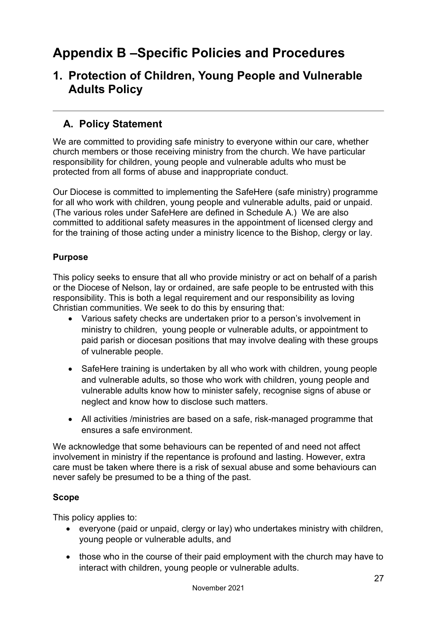# <span id="page-28-0"></span>**Appendix B –Specific Policies and Procedures**

### <span id="page-28-1"></span>**1. Protection of Children, Young People and Vulnerable Adults Policy**

### **A. Policy Statement**

We are committed to providing safe ministry to everyone within our care, whether church members or those receiving ministry from the church. We have particular responsibility for children, young people and vulnerable adults who must be protected from all forms of abuse and inappropriate conduct.

Our Diocese is committed to implementing the SafeHere (safe ministry) programme for all who work with children, young people and vulnerable adults, paid or unpaid. (The various roles under SafeHere are defined in Schedule A.) We are also committed to additional safety measures in the appointment of licensed clergy and for the training of those acting under a ministry licence to the Bishop, clergy or lay.

#### **Purpose**

This policy seeks to ensure that all who provide ministry or act on behalf of a parish or the Diocese of Nelson, lay or ordained, are safe people to be entrusted with this responsibility. This is both a legal requirement and our responsibility as loving Christian communities. We seek to do this by ensuring that:

- Various safety checks are undertaken prior to a person's involvement in ministry to children, young people or vulnerable adults, or appointment to paid parish or diocesan positions that may involve dealing with these groups of vulnerable people.
- SafeHere training is undertaken by all who work with children, young people and vulnerable adults, so those who work with children, young people and vulnerable adults know how to minister safely, recognise signs of abuse or neglect and know how to disclose such matters.
- All activities /ministries are based on a safe, risk-managed programme that ensures a safe environment.

We acknowledge that some behaviours can be repented of and need not affect involvement in ministry if the repentance is profound and lasting. However, extra care must be taken where there is a risk of sexual abuse and some behaviours can never safely be presumed to be a thing of the past.

#### **Scope**

This policy applies to:

- everyone (paid or unpaid, clergy or lay) who undertakes ministry with children, young people or vulnerable adults, and
- those who in the course of their paid employment with the church may have to interact with children, young people or vulnerable adults.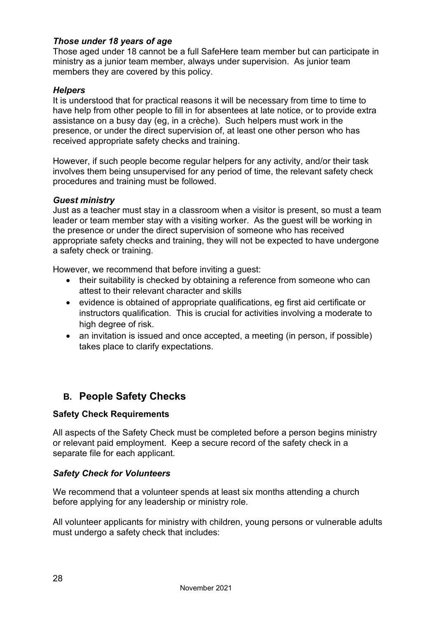#### *Those under 18 years of age*

Those aged under 18 cannot be a full SafeHere team member but can participate in ministry as a junior team member, always under supervision. As junior team members they are covered by this policy.

#### *Helpers*

It is understood that for practical reasons it will be necessary from time to time to have help from other people to fill in for absentees at late notice, or to provide extra assistance on a busy day (eg, in a crèche). Such helpers must work in the presence, or under the direct supervision of, at least one other person who has received appropriate safety checks and training.

However, if such people become regular helpers for any activity, and/or their task involves them being unsupervised for any period of time, the relevant safety check procedures and training must be followed.

#### *Guest ministry*

Just as a teacher must stay in a classroom when a visitor is present, so must a team leader or team member stay with a visiting worker. As the guest will be working in the presence or under the direct supervision of someone who has received appropriate safety checks and training, they will not be expected to have undergone a safety check or training.

However, we recommend that before inviting a guest:

- their suitability is checked by obtaining a reference from someone who can attest to their relevant character and skills
- evidence is obtained of appropriate qualifications, eg first aid certificate or instructors qualification. This is crucial for activities involving a moderate to high degree of risk.
- an invitation is issued and once accepted, a meeting (in person, if possible) takes place to clarify expectations.

### **B. People Safety Checks**

#### **Safety Check Requirements**

All aspects of the Safety Check must be completed before a person begins ministry or relevant paid employment. Keep a secure record of the safety check in a separate file for each applicant.

#### *Safety Check for Volunteers*

We recommend that a volunteer spends at least six months attending a church before applying for any leadership or ministry role.

All volunteer applicants for ministry with children, young persons or vulnerable adults must undergo a safety check that includes: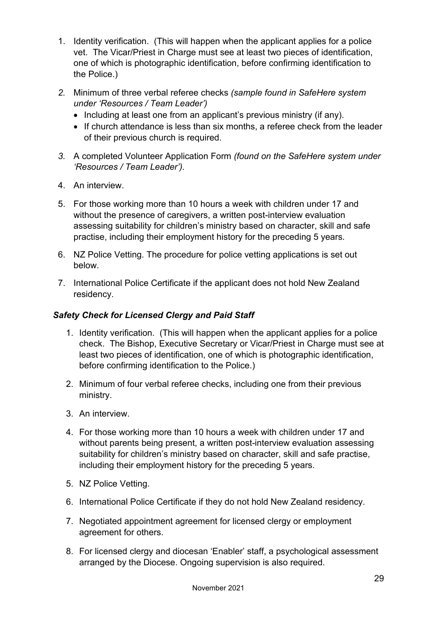- 1. Identity verification. (This will happen when the applicant applies for a police vet. The Vicar/Priest in Charge must see at least two pieces of identification, one of which is photographic identification, before confirming identification to the Police.)
- *2.* Minimum of three verbal referee checks *(sample found in SafeHere system under 'Resources / Team Leader')*
	- Including at least one from an applicant's previous ministry (if any).
	- If church attendance is less than six months, a referee check from the leader of their previous church is required.
- *3.* A completed Volunteer Application Form *(found on the SafeHere system under 'Resources / Team Leader').*
- 4. An interview.
- 5. For those working more than 10 hours a week with children under 17 and without the presence of caregivers, a written post-interview evaluation assessing suitability for children's ministry based on character, skill and safe practise, including their employment history for the preceding 5 years.
- 6. NZ Police Vetting. The procedure for police vetting applications is set out below.
- 7. International Police Certificate if the applicant does not hold New Zealand residency.

#### *Safety Check for Licensed Clergy and Paid Staff*

- 1. Identity verification. (This will happen when the applicant applies for a police check. The Bishop, Executive Secretary or Vicar/Priest in Charge must see at least two pieces of identification, one of which is photographic identification, before confirming identification to the Police.)
- 2. Minimum of four verbal referee checks, including one from their previous ministry.
- 3. An interview.
- 4. For those working more than 10 hours a week with children under 17 and without parents being present, a written post-interview evaluation assessing suitability for children's ministry based on character, skill and safe practise, including their employment history for the preceding 5 years.
- 5. NZ Police Vetting.
- 6. International Police Certificate if they do not hold New Zealand residency.
- 7. Negotiated appointment agreement for licensed clergy or employment agreement for others.
- 8. For licensed clergy and diocesan 'Enabler' staff, a psychological assessment arranged by the Diocese. Ongoing supervision is also required.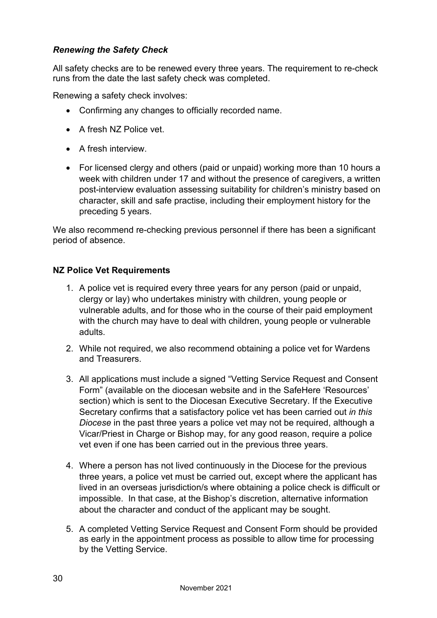#### *Renewing the Safety Check*

All safety checks are to be renewed every three years. The requirement to re-check runs from the date the last safety check was completed.

Renewing a safety check involves:

- Confirming any changes to officially recorded name.
- A fresh NZ Police vet.
- A fresh interview.
- For licensed clergy and others (paid or unpaid) working more than 10 hours a week with children under 17 and without the presence of caregivers, a written post-interview evaluation assessing suitability for children's ministry based on character, skill and safe practise, including their employment history for the preceding 5 years.

We also recommend re-checking previous personnel if there has been a significant period of absence.

#### **NZ Police Vet Requirements**

- 1. A police vet is required every three years for any person (paid or unpaid, clergy or lay) who undertakes ministry with children, young people or vulnerable adults, and for those who in the course of their paid employment with the church may have to deal with children, young people or vulnerable adults.
- 2. While not required, we also recommend obtaining a police vet for Wardens and Treasurers.
- 3. All applications must include a signed "Vetting Service Request and Consent Form" (available on the diocesan website and in the SafeHere 'Resources' section) which is sent to the Diocesan Executive Secretary. If the Executive Secretary confirms that a satisfactory police vet has been carried out *in this Diocese* in the past three years a police vet may not be required, although a Vicar/Priest in Charge or Bishop may, for any good reason, require a police vet even if one has been carried out in the previous three years.
- 4. Where a person has not lived continuously in the Diocese for the previous three years, a police vet must be carried out, except where the applicant has lived in an overseas jurisdiction/s where obtaining a police check is difficult or impossible. In that case, at the Bishop's discretion, alternative information about the character and conduct of the applicant may be sought.
- 5. A completed Vetting Service Request and Consent Form should be provided as early in the appointment process as possible to allow time for processing by the Vetting Service.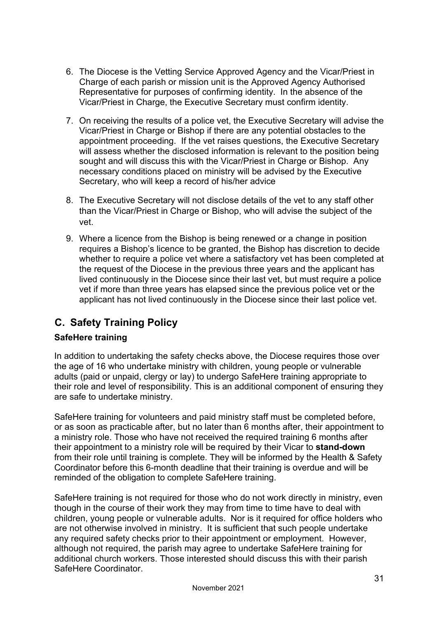# **Append**

#### **Risk Assessment Form**  $\mathbf 1$ .

RISKASSESSMENT AMOTIONPLAN-ACTIVITY ORNVIRONMENT

| Identified safety risk | Likelihood<br>descriptor | Consequence<br>descriptor | from matrix<br>Risk Level<br>Priority | Action plan<br>(What we will do to reduce this risk to an acceptable level) |
|------------------------|--------------------------|---------------------------|---------------------------------------|-----------------------------------------------------------------------------|
| 1.                     |                          |                           |                                       |                                                                             |
| 2.                     |                          |                           |                                       |                                                                             |
| $\overline{3}$ .       |                          |                           |                                       |                                                                             |
| 4.                     |                          |                           |                                       |                                                                             |
| 5.                     |                          |                           |                                       |                                                                             |
| 6.                     |                          |                           |                                       |                                                                             |
| $\overline{7}$ .       |                          |                           |                                       |                                                                             |

Likelihood Common, Possible, Unlikely, Rare, Very RarConsequenceSevere, Major, Moderat&linor, Negligible

Sa<br>Reproduction of or

 $\overline{F}$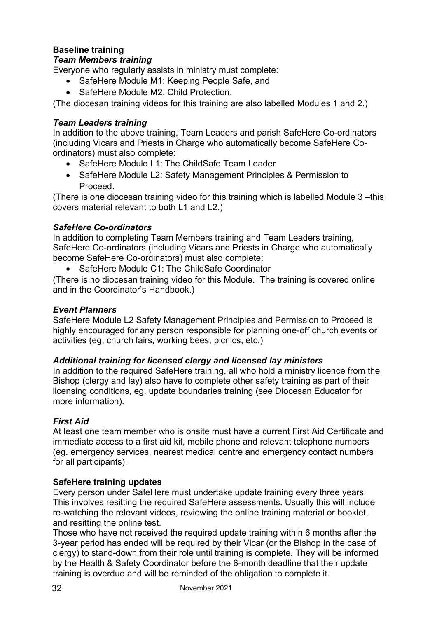### **Baseline training**

#### *Team Members training*

Everyone who regularly assists in ministry must complete:

- SafeHere Module M1: Keeping People Safe, and
- SafeHere Module M2: Child Protection

(The diocesan training videos for this training are also labelled Modules 1 and 2.)

#### *Team Leaders training*

In addition to the above training, Team Leaders and parish SafeHere Co-ordinators (including Vicars and Priests in Charge who automatically become SafeHere Coordinators) must also complete:

- SafeHere Module L1: The ChildSafe Team Leader
- SafeHere Module L2: Safety Management Principles & Permission to Proceed.

(There is one diocesan training video for this training which is labelled Module 3 –this covers material relevant to both L1 and L2.)

#### *SafeHere Co-ordinators*

In addition to completing Team Members training and Team Leaders training, SafeHere Co-ordinators (including Vicars and Priests in Charge who automatically become SafeHere Co-ordinators) must also complete:

• SafeHere Module C1: The ChildSafe Coordinator

(There is no diocesan training video for this Module. The training is covered online and in the Coordinator's Handbook.)

#### *Event Planners*

SafeHere Module L2 Safety Management Principles and Permission to Proceed is highly encouraged for any person responsible for planning one-off church events or activities (eg, church fairs, working bees, picnics, etc.)

#### *Additional training for licensed clergy and licensed lay ministers*

In addition to the required SafeHere training, all who hold a ministry licence from the Bishop (clergy and lay) also have to complete other safety training as part of their licensing conditions, eg. update boundaries training (see Diocesan Educator for more information).

#### *First Aid*

At least one team member who is onsite must have a current First Aid Certificate and immediate access to a first aid kit, mobile phone and relevant telephone numbers (eg. emergency services, nearest medical centre and emergency contact numbers for all participants).

#### **SafeHere training updates**

Every person under SafeHere must undertake update training every three years. This involves resitting the required SafeHere assessments. Usually this will include re-watching the relevant videos, reviewing the online training material or booklet, and resitting the online test.

Those who have not received the required update training within 6 months after the 3-year period has ended will be required by their Vicar (or the Bishop in the case of clergy) to **stand-down** from their role until training is complete. They will be informed by the Health & Safety Coordinator before the 6-month deadline that their update training is overdue and will be reminded of the obligation to complete it.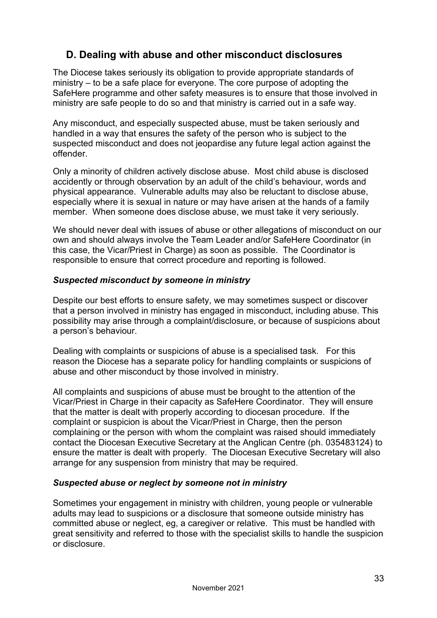### **D. Dealing with abuse and other misconduct disclosures**

The Diocese takes seriously its obligation to provide appropriate standards of ministry – to be a safe place for everyone. The core purpose of adopting the SafeHere programme and other safety measures is to ensure that those involved in ministry are safe people to do so and that ministry is carried out in a safe way.

Any misconduct, and especially suspected abuse, must be taken seriously and handled in a way that ensures the safety of the person who is subject to the suspected misconduct and does not jeopardise any future legal action against the offender.

Only a minority of children actively disclose abuse. Most child abuse is disclosed accidently or through observation by an adult of the child's behaviour, words and physical appearance. Vulnerable adults may also be reluctant to disclose abuse, especially where it is sexual in nature or may have arisen at the hands of a family member. When someone does disclose abuse, we must take it very seriously.

We should never deal with issues of abuse or other allegations of misconduct on our own and should always involve the Team Leader and/or SafeHere Coordinator (in this case, the Vicar/Priest in Charge) as soon as possible. The Coordinator is responsible to ensure that correct procedure and reporting is followed.

#### *Suspected misconduct by someone in ministry*

Despite our best efforts to ensure safety, we may sometimes suspect or discover that a person involved in ministry has engaged in misconduct, including abuse. This possibility may arise through a complaint/disclosure, or because of suspicions about a person's behaviour.

Dealing with complaints or suspicions of abuse is a specialised task. For this reason the Diocese has a separate policy for handling complaints or suspicions of abuse and other misconduct by those involved in ministry.

All complaints and suspicions of abuse must be brought to the attention of the Vicar/Priest in Charge in their capacity as SafeHere Coordinator. They will ensure that the matter is dealt with properly according to diocesan procedure. If the complaint or suspicion is about the Vicar/Priest in Charge, then the person complaining or the person with whom the complaint was raised should immediately contact the Diocesan Executive Secretary at the Anglican Centre (ph. 035483124) to ensure the matter is dealt with properly. The Diocesan Executive Secretary will also arrange for any suspension from ministry that may be required.

#### *Suspected abuse or neglect by someone not in ministry*

Sometimes your engagement in ministry with children, young people or vulnerable adults may lead to suspicions or a disclosure that someone outside ministry has committed abuse or neglect, eg, a caregiver or relative. This must be handled with great sensitivity and referred to those with the specialist skills to handle the suspicion or disclosure.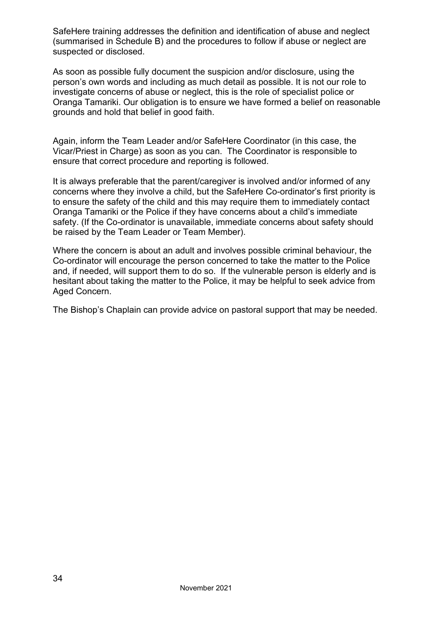SafeHere training addresses the definition and identification of abuse and neglect (summarised in Schedule B) and the procedures to follow if abuse or neglect are suspected or disclosed.

As soon as possible fully document the suspicion and/or disclosure, using the person's own words and including as much detail as possible. It is not our role to investigate concerns of abuse or neglect, this is the role of specialist police or Oranga Tamariki. Our obligation is to ensure we have formed a belief on reasonable grounds and hold that belief in good faith.

Again, inform the Team Leader and/or SafeHere Coordinator (in this case, the Vicar/Priest in Charge) as soon as you can. The Coordinator is responsible to ensure that correct procedure and reporting is followed.

It is always preferable that the parent/caregiver is involved and/or informed of any concerns where they involve a child, but the SafeHere Co-ordinator's first priority is to ensure the safety of the child and this may require them to immediately contact Oranga Tamariki or the Police if they have concerns about a child's immediate safety. (If the Co-ordinator is unavailable, immediate concerns about safety should be raised by the Team Leader or Team Member).

Where the concern is about an adult and involves possible criminal behaviour, the Co-ordinator will encourage the person concerned to take the matter to the Police and, if needed, will support them to do so. If the vulnerable person is elderly and is hesitant about taking the matter to the Police, it may be helpful to seek advice from Aged Concern.

The Bishop's Chaplain can provide advice on pastoral support that may be needed.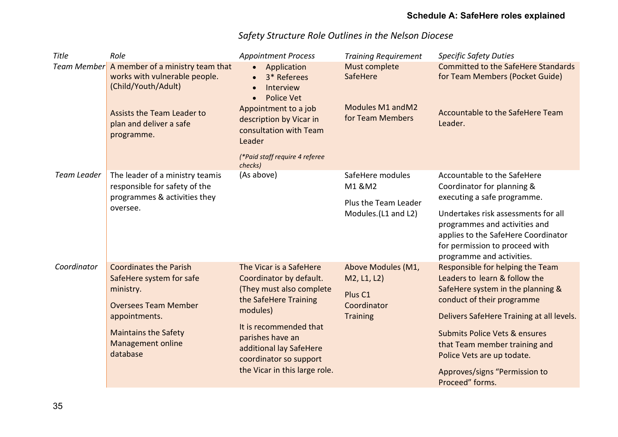### **Schedule A: SafeHere roles explained**

| <b>Title</b>       | Role                                                                                     | <b>Appointment Process</b>                                                                                                       | <b>Training Requirement</b>                          | <b>Specific Safety Duties</b>                                                                                                                                              |
|--------------------|------------------------------------------------------------------------------------------|----------------------------------------------------------------------------------------------------------------------------------|------------------------------------------------------|----------------------------------------------------------------------------------------------------------------------------------------------------------------------------|
| <b>Team Member</b> | A member of a ministry team that<br>works with vulnerable people.<br>(Child/Youth/Adult) | • Application<br>3* Referees<br>$\bullet$<br>Interview<br><b>Police Vet</b>                                                      | Must complete<br>SafeHere                            | <b>Committed to the SafeHere Standards</b><br>for Team Members (Pocket Guide)                                                                                              |
|                    | <b>Assists the Team Leader to</b><br>plan and deliver a safe<br>programme.               | Appointment to a job<br>description by Vicar in<br>consultation with Team<br>Leader                                              | Modules M1 and M2<br>for Team Members                | Accountable to the SafeHere Team<br>Leader.                                                                                                                                |
|                    |                                                                                          | (*Paid staff require 4 referee<br>checks)                                                                                        |                                                      |                                                                                                                                                                            |
| <b>Team Leader</b> | The leader of a ministry teamis<br>responsible for safety of the                         | (As above)                                                                                                                       | SafeHere modules<br>M1 &M2                           | Accountable to the SafeHere<br>Coordinator for planning &                                                                                                                  |
|                    | programmes & activities they                                                             |                                                                                                                                  | Plus the Team Leader<br>Modules. (L1 and L2)         | executing a safe programme.                                                                                                                                                |
|                    | oversee.                                                                                 |                                                                                                                                  |                                                      | Undertakes risk assessments for all<br>programmes and activities and<br>applies to the SafeHere Coordinator<br>for permission to proceed with<br>programme and activities. |
| Coordinator        | <b>Coordinates the Parish</b>                                                            | The Vicar is a SafeHere                                                                                                          | Above Modules (M1,                                   | Responsible for helping the Team                                                                                                                                           |
|                    | SafeHere system for safe                                                                 | Coordinator by default.                                                                                                          | M2, L1, L2)                                          | Leaders to learn & follow the                                                                                                                                              |
|                    | ministry.<br><b>Oversees Team Member</b>                                                 | (They must also complete<br>the SafeHere Training<br>modules)                                                                    | Plus <sub>C1</sub><br>Coordinator<br><b>Training</b> | SafeHere system in the planning &<br>conduct of their programme                                                                                                            |
|                    | appointments.                                                                            |                                                                                                                                  |                                                      | Delivers SafeHere Training at all levels.                                                                                                                                  |
|                    | <b>Maintains the Safety</b><br><b>Management online</b><br>database                      | It is recommended that<br>parishes have an<br>additional lay SafeHere<br>coordinator so support<br>the Vicar in this large role. |                                                      | <b>Submits Police Vets &amp; ensures</b><br>that Team member training and<br>Police Vets are up todate.<br>Approves/signs "Permission to<br>Proceed" forms.                |

### *Safety Structure Role Outlines in the Nelson Diocese*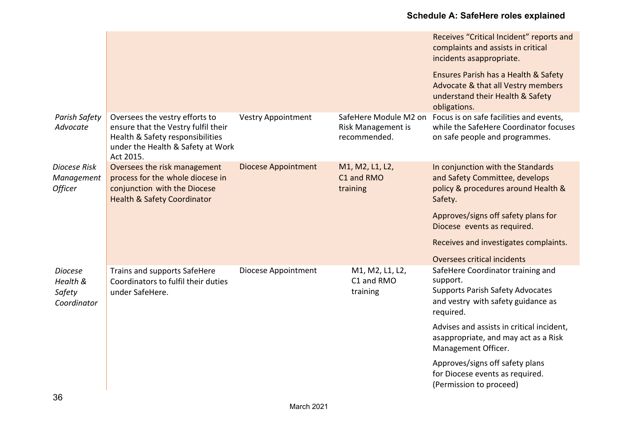### **Schedule A: SafeHere roles explained**

|                                                     |                                                                                                                                                             |                            |                                                             | Receives "Critical Incident" reports and<br>complaints and assists in critical<br>incidents asappropriate.                                                                                                                                                                                                                                               |
|-----------------------------------------------------|-------------------------------------------------------------------------------------------------------------------------------------------------------------|----------------------------|-------------------------------------------------------------|----------------------------------------------------------------------------------------------------------------------------------------------------------------------------------------------------------------------------------------------------------------------------------------------------------------------------------------------------------|
|                                                     |                                                                                                                                                             |                            |                                                             | Ensures Parish has a Health & Safety<br>Advocate & that all Vestry members<br>understand their Health & Safety<br>obligations.                                                                                                                                                                                                                           |
| Parish Safety<br>Advocate                           | Oversees the vestry efforts to<br>ensure that the Vestry fulfil their<br>Health & Safety responsibilities<br>under the Health & Safety at Work<br>Act 2015. | <b>Vestry Appointment</b>  | SafeHere Module M2 on<br>Risk Management is<br>recommended. | Focus is on safe facilities and events,<br>while the SafeHere Coordinator focuses<br>on safe people and programmes.                                                                                                                                                                                                                                      |
| Diocese Risk<br>Management<br><b>Officer</b>        | Oversees the risk management<br>process for the whole diocese in<br>conjunction with the Diocese<br><b>Health &amp; Safety Coordinator</b>                  | <b>Diocese Appointment</b> | M1, M2, L1, L2,<br>C1 and RMO<br>training                   | In conjunction with the Standards<br>and Safety Committee, develops<br>policy & procedures around Health &<br>Safety.<br>Approves/signs off safety plans for<br>Diocese events as required.<br>Receives and investigates complaints.<br>Oversees critical incidents                                                                                      |
| <b>Diocese</b><br>Health &<br>Safety<br>Coordinator | Trains and supports SafeHere<br>Coordinators to fulfil their duties<br>under SafeHere.                                                                      | Diocese Appointment        | M1, M2, L1, L2,<br>C1 and RMO<br>training                   | SafeHere Coordinator training and<br>support.<br><b>Supports Parish Safety Advocates</b><br>and vestry with safety guidance as<br>required.<br>Advises and assists in critical incident,<br>asappropriate, and may act as a Risk<br>Management Officer.<br>Approves/signs off safety plans<br>for Diocese events as required.<br>(Permission to proceed) |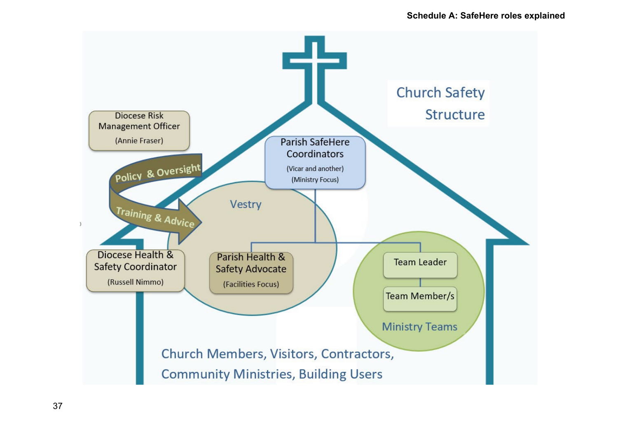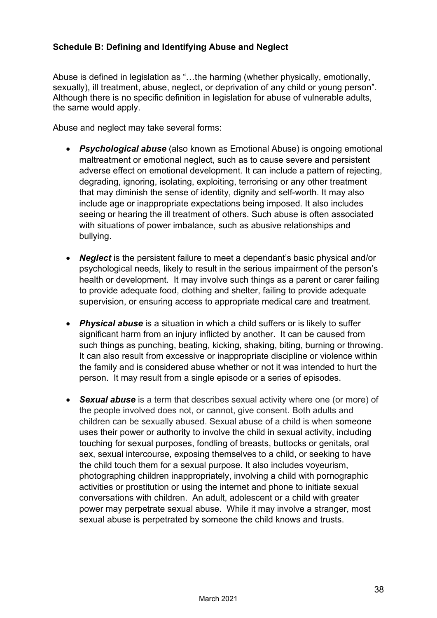#### **Schedule B: Defining and Identifying Abuse and Neglect**

Abuse is defined in legislation as "…the harming (whether physically, emotionally, sexually), ill treatment, abuse, neglect, or deprivation of any child or young person". Although there is no specific definition in legislation for abuse of vulnerable adults, the same would apply.

Abuse and neglect may take several forms:

- *Psychological abuse* (also known as Emotional Abuse) is ongoing emotional maltreatment or emotional neglect, such as to cause severe and persistent adverse effect on emotional development. It can include a pattern of rejecting, degrading, ignoring, isolating, exploiting, terrorising or any other treatment that may diminish the sense of identity, dignity and self-worth. It may also include age or inappropriate expectations being imposed. It also includes seeing or hearing the ill treatment of others. Such abuse is often associated with situations of power imbalance, such as abusive relationships and bullying.
- *Neglect* is the persistent failure to meet a dependant's basic physical and/or psychological needs, likely to result in the serious impairment of the person's health or development. It may involve such things as a parent or carer failing to provide adequate food, clothing and shelter, failing to provide adequate supervision, or ensuring access to appropriate medical care and treatment.
- *Physical abuse* is a situation in which a child suffers or is likely to suffer significant harm from an injury inflicted by another. It can be caused from such things as punching, beating, kicking, shaking, biting, burning or throwing. It can also result from excessive or inappropriate discipline or violence within the family and is considered abuse whether or not it was intended to hurt the person. It may result from a single episode or a series of episodes.
- *Sexual abuse* is a term that describes sexual activity where one (or more) of the people involved does not, or cannot, give consent. Both adults and children can be sexually abused. Sexual abuse of a child is when someone uses their power or authority to involve the child in sexual activity, including touching for sexual purposes, fondling of breasts, buttocks or genitals, oral sex, sexual intercourse, exposing themselves to a child, or seeking to have the child touch them for a sexual purpose. It also includes voyeurism, photographing children inappropriately, involving a child with pornographic activities or prostitution or using the internet and phone to initiate sexual conversations with children. An adult, adolescent or a child with greater power may perpetrate sexual abuse. While it may involve a stranger, most sexual abuse is perpetrated by someone the child knows and trusts.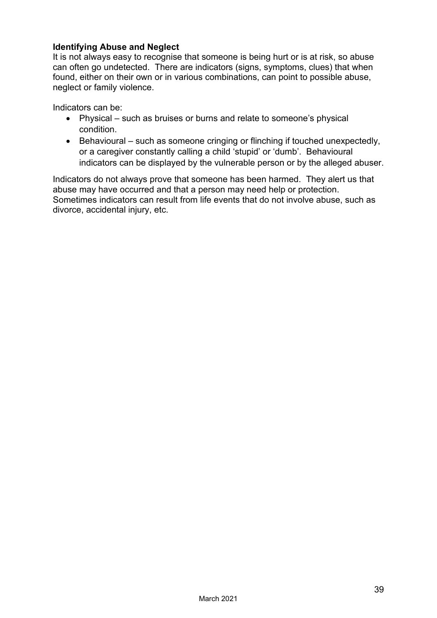#### **Identifying Abuse and Neglect**

It is not always easy to recognise that someone is being hurt or is at risk, so abuse can often go undetected. There are indicators (signs, symptoms, clues) that when found, either on their own or in various combinations, can point to possible abuse, neglect or family violence.

Indicators can be:

- Physical such as bruises or burns and relate to someone's physical condition.
- Behavioural such as someone cringing or flinching if touched unexpectedly, or a caregiver constantly calling a child 'stupid' or 'dumb'. Behavioural indicators can be displayed by the vulnerable person or by the alleged abuser.

Indicators do not always prove that someone has been harmed. They alert us that abuse may have occurred and that a person may need help or protection. Sometimes indicators can result from life events that do not involve abuse, such as divorce, accidental injury, etc.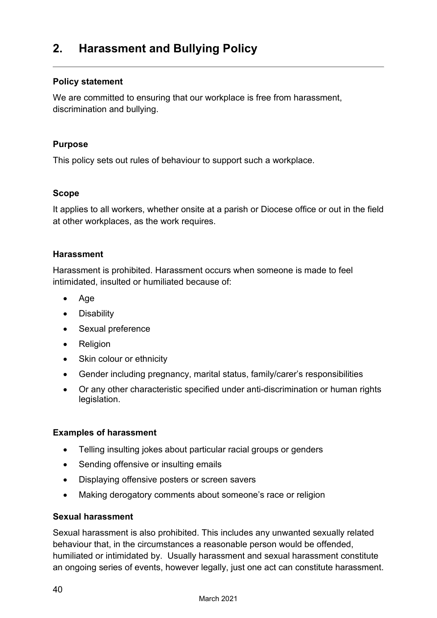### <span id="page-41-0"></span>**2. Harassment and Bullying Policy**

#### **Policy statement**

We are committed to ensuring that our workplace is free from harassment, discrimination and bullying.

#### **Purpose**

This policy sets out rules of behaviour to support such a workplace.

#### **Scope**

It applies to all workers, whether onsite at a parish or Diocese office or out in the field at other workplaces, as the work requires.

#### **Harassment**

Harassment is prohibited. Harassment occurs when someone is made to feel intimidated, insulted or humiliated because of:

- Age
- Disability
- Sexual preference
- Religion
- Skin colour or ethnicity
- Gender including pregnancy, marital status, family/carer's responsibilities
- Or any other characteristic specified under anti-discrimination or human rights legislation.

#### **Examples of harassment**

- Telling insulting jokes about particular racial groups or genders
- Sending offensive or insulting emails
- Displaying offensive posters or screen savers
- Making derogatory comments about someone's race or religion

#### **Sexual harassment**

Sexual harassment is also prohibited. This includes any unwanted sexually related behaviour that, in the circumstances a reasonable person would be offended, humiliated or intimidated by. Usually harassment and sexual harassment constitute an ongoing series of events, however legally, just one act can constitute harassment.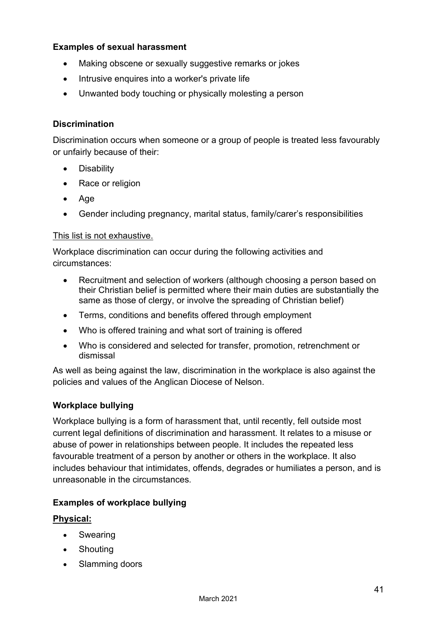#### **Examples of sexual harassment**

- Making obscene or sexually suggestive remarks or jokes
- Intrusive enquires into a worker's private life
- Unwanted body touching or physically molesting a person

#### **Discrimination**

Discrimination occurs when someone or a group of people is treated less favourably or unfairly because of their:

- Disability
- Race or religion
- Age
- Gender including pregnancy, marital status, family/carer's responsibilities

#### This list is not exhaustive.

Workplace discrimination can occur during the following activities and circumstances:

- Recruitment and selection of workers (although choosing a person based on their Christian belief is permitted where their main duties are substantially the same as those of clergy, or involve the spreading of Christian belief)
- Terms, conditions and benefits offered through employment
- Who is offered training and what sort of training is offered
- Who is considered and selected for transfer, promotion, retrenchment or dismissal

As well as being against the law, discrimination in the workplace is also against the policies and values of the Anglican Diocese of Nelson.

#### **Workplace bullying**

Workplace bullying is a form of harassment that, until recently, fell outside most current legal definitions of discrimination and harassment. It relates to a misuse or abuse of power in relationships between people. It includes the repeated less favourable treatment of a person by another or others in the workplace. It also includes behaviour that intimidates, offends, degrades or humiliates a person, and is unreasonable in the circumstances.

#### **Examples of workplace bullying**

#### **Physical:**

- Swearing
- Shouting
- Slamming doors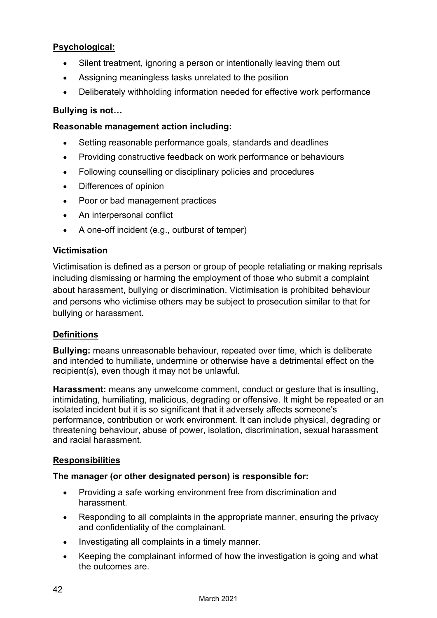#### **Psychological:**

- Silent treatment, ignoring a person or intentionally leaving them out
- Assigning meaningless tasks unrelated to the position
- Deliberately withholding information needed for effective work performance

#### **Bullying is not…**

#### **Reasonable management action including:**

- Setting reasonable performance goals, standards and deadlines
- Providing constructive feedback on work performance or behaviours
- Following counselling or disciplinary policies and procedures
- Differences of opinion
- Poor or bad management practices
- An interpersonal conflict
- A one-off incident (e.g., outburst of temper)

#### **Victimisation**

Victimisation is defined as a person or group of people retaliating or making reprisals including dismissing or harming the employment of those who submit a complaint about harassment, bullying or discrimination. Victimisation is prohibited behaviour and persons who victimise others may be subject to prosecution similar to that for bullying or harassment.

#### **Definitions**

**Bullying:** means unreasonable behaviour, repeated over time, which is deliberate and intended to humiliate, undermine or otherwise have a detrimental effect on the recipient(s), even though it may not be unlawful.

**Harassment:** means any unwelcome comment, conduct or gesture that is insulting, intimidating, humiliating, malicious, degrading or offensive. It might be repeated or an isolated incident but it is so significant that it adversely affects someone's performance, contribution or work environment. It can include physical, degrading or threatening behaviour, abuse of power, isolation, discrimination, sexual harassment and racial harassment.

#### **Responsibilities**

#### **The manager (or other designated person) is responsible for:**

- Providing a safe working environment free from discrimination and harassment.
- Responding to all complaints in the appropriate manner, ensuring the privacy and confidentiality of the complainant.
- Investigating all complaints in a timely manner.
- Keeping the complainant informed of how the investigation is going and what the outcomes are.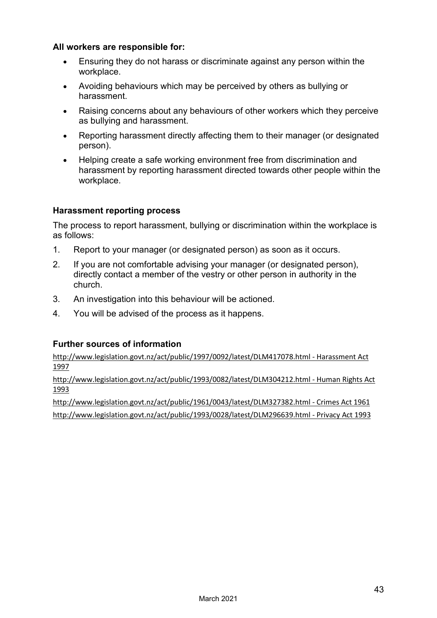#### **All workers are responsible for:**

- Ensuring they do not harass or discriminate against any person within the workplace.
- Avoiding behaviours which may be perceived by others as bullying or harassment.
- Raising concerns about any behaviours of other workers which they perceive as bullying and harassment.
- Reporting harassment directly affecting them to their manager (or designated person).
- Helping create a safe working environment free from discrimination and harassment by reporting harassment directed towards other people within the workplace.

#### **Harassment reporting process**

The process to report harassment, bullying or discrimination within the workplace is as follows:

- 1. Report to your manager (or designated person) as soon as it occurs.
- 2. If you are not comfortable advising your manager (or designated person), directly contact a member of the vestry or other person in authority in the church.
- 3. An investigation into this behaviour will be actioned.
- 4. You will be advised of the process as it happens.

#### **Further sources of information**

[http://www.legislation.govt.nz/act/public/1997/0092/latest/DLM417078.html -](http://www.legislation.govt.nz/act/public/1997/0092/latest/DLM417078.html%20-%20Harassment%20Act%201997) Harassment Act [1997](http://www.legislation.govt.nz/act/public/1997/0092/latest/DLM417078.html%20-%20Harassment%20Act%201997)

[http://www.legislation.govt.nz/act/public/1993/0082/latest/DLM304212.html -](http://www.legislation.govt.nz/act/public/1993/0082/latest/DLM304212.html%20-%20Human%20Rights%20Act%201993) Human Rights Act [1993](http://www.legislation.govt.nz/act/public/1993/0082/latest/DLM304212.html%20-%20Human%20Rights%20Act%201993)

[http://www.legislation.govt.nz/act/public/1961/0043/latest/DLM327382.html -](http://www.legislation.govt.nz/act/public/1961/0043/latest/DLM327382.html%20-%20Crimes%20Act%201961) Crimes Act 1961 [http://www.legislation.govt.nz/act/public/1993/0028/latest/DLM296639.html -](http://www.legislation.govt.nz/act/public/1993/0028/latest/DLM296639.html%20-%20Privacy%20Act%201993) Privacy Act 1993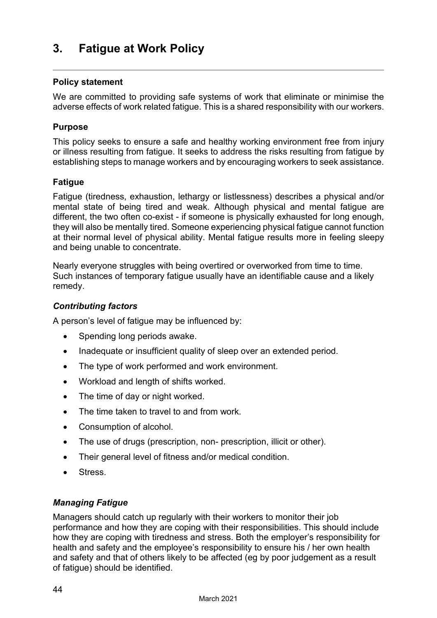### <span id="page-45-0"></span>**3. Fatigue at Work Policy**

#### **Policy statement**

We are committed to providing safe systems of work that eliminate or minimise the adverse effects of work related fatigue. This is a shared responsibility with our workers.

#### **Purpose**

This policy seeks to ensure a safe and healthy working environment free from injury or illness resulting from fatigue. It seeks to address the risks resulting from fatigue by establishing steps to manage workers and by encouraging workers to seek assistance.

#### **Fatigue**

Fatigue (tiredness, exhaustion, lethargy or listlessness) describes a physical and/or mental state of being tired and weak. Although physical and mental fatigue are different, the two often co-exist - if someone is physically exhausted for long enough, they will also be mentally tired. Someone experiencing physical fatigue cannot function at their normal level of physical ability. Mental fatigue results more in feeling sleepy and being unable to concentrate.

Nearly everyone struggles with being overtired or overworked from time to time. Such instances of temporary fatigue usually have an identifiable cause and a likely remedy.

#### *Contributing factors*

A person's level of fatigue may be influenced by:

- Spending long periods awake.
- Inadequate or insufficient quality of sleep over an extended period.
- The type of work performed and work environment.
- Workload and length of shifts worked.
- The time of day or night worked.
- The time taken to travel to and from work.
- Consumption of alcohol.
- The use of drugs (prescription, non- prescription, illicit or other).
- Their general level of fitness and/or medical condition.
- Stress.

#### *Managing Fatigue*

Managers should catch up regularly with their workers to monitor their job performance and how they are coping with their responsibilities. This should include how they are coping with tiredness and stress. Both the employer's responsibility for health and safety and the employee's responsibility to ensure his / her own health and safety and that of others likely to be affected (eg by poor judgement as a result of fatigue) should be identified.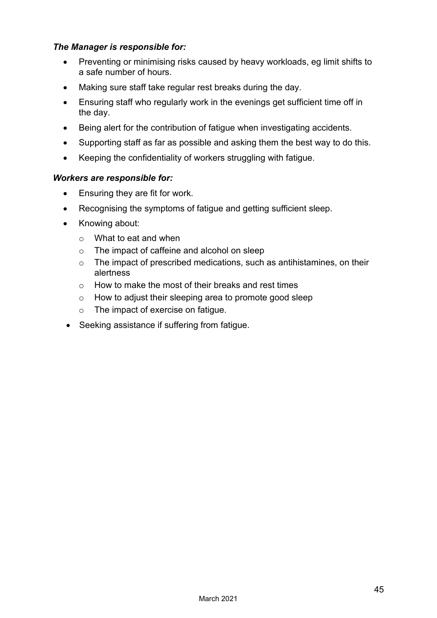#### *The Manager is responsible for:*

- Preventing or minimising risks caused by heavy workloads, eg limit shifts to a safe number of hours.
- Making sure staff take regular rest breaks during the day.
- Ensuring staff who regularly work in the evenings get sufficient time off in the day.
- Being alert for the contribution of fatigue when investigating accidents.
- Supporting staff as far as possible and asking them the best way to do this.
- Keeping the confidentiality of workers struggling with fatigue.

#### *Workers are responsible for:*

- Ensuring they are fit for work.
- Recognising the symptoms of fatigue and getting sufficient sleep.
- Knowing about:
	- o What to eat and when
	- o The impact of caffeine and alcohol on sleep
	- o The impact of prescribed medications, such as antihistamines, on their alertness
	- o How to make the most of their breaks and rest times
	- o How to adjust their sleeping area to promote good sleep
	- o The impact of exercise on fatigue.
- Seeking assistance if suffering from fatigue.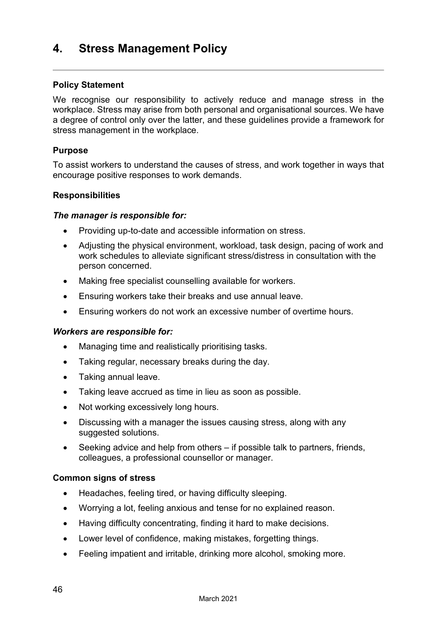### <span id="page-47-0"></span>**4. Stress Management Policy**

#### **Policy Statement**

We recognise our responsibility to actively reduce and manage stress in the workplace. Stress may arise from both personal and organisational sources. We have a degree of control only over the latter, and these guidelines provide a framework for stress management in the workplace.

#### **Purpose**

To assist workers to understand the causes of stress, and work together in ways that encourage positive responses to work demands.

#### **Responsibilities**

#### *The manager is responsible for:*

- Providing up-to-date and accessible information on stress.
- Adjusting the physical environment, workload, task design, pacing of work and work schedules to alleviate significant stress/distress in consultation with the person concerned.
- Making free specialist counselling available for workers.
- Ensuring workers take their breaks and use annual leave.
- Ensuring workers do not work an excessive number of overtime hours.

#### *Workers are responsible for:*

- Managing time and realistically prioritising tasks.
- Taking regular, necessary breaks during the day.
- Taking annual leave.
- Taking leave accrued as time in lieu as soon as possible.
- Not working excessively long hours.
- Discussing with a manager the issues causing stress, along with any suggested solutions.
- Seeking advice and help from others if possible talk to partners, friends, colleagues, a professional counsellor or manager.

#### **Common signs of stress**

- Headaches, feeling tired, or having difficulty sleeping.
- Worrying a lot, feeling anxious and tense for no explained reason.
- Having difficulty concentrating, finding it hard to make decisions.
- Lower level of confidence, making mistakes, forgetting things.
- Feeling impatient and irritable, drinking more alcohol, smoking more.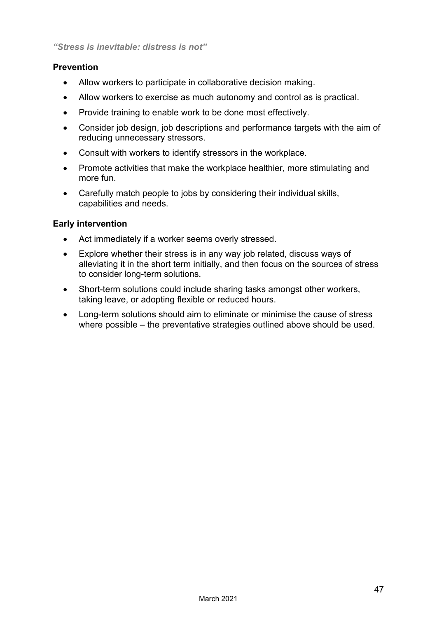#### **Prevention**

- Allow workers to participate in collaborative decision making.
- Allow workers to exercise as much autonomy and control as is practical.
- Provide training to enable work to be done most effectively.
- Consider job design, job descriptions and performance targets with the aim of reducing unnecessary stressors.
- Consult with workers to identify stressors in the workplace.
- Promote activities that make the workplace healthier, more stimulating and more fun.
- Carefully match people to jobs by considering their individual skills, capabilities and needs.

#### **Early intervention**

- Act immediately if a worker seems overly stressed.
- Explore whether their stress is in any way job related, discuss ways of alleviating it in the short term initially, and then focus on the sources of stress to consider long-term solutions.
- Short-term solutions could include sharing tasks amongst other workers, taking leave, or adopting flexible or reduced hours.
- Long-term solutions should aim to eliminate or minimise the cause of stress where possible – the preventative strategies outlined above should be used.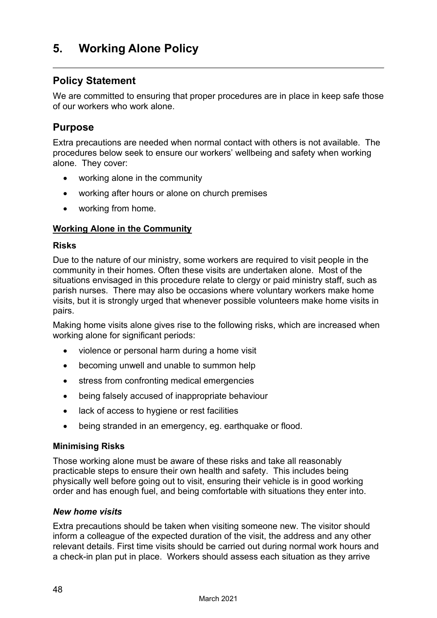### <span id="page-49-0"></span>**5. Working Alone Policy**

### **Policy Statement**

We are committed to ensuring that proper procedures are in place in keep safe those of our workers who work alone.

#### **Purpose**

Extra precautions are needed when normal contact with others is not available. The procedures below seek to ensure our workers' wellbeing and safety when working alone. They cover:

- working alone in the community
- working after hours or alone on church premises
- working from home.

#### **Working Alone in the Community**

#### **Risks**

Due to the nature of our ministry, some workers are required to visit people in the community in their homes. Often these visits are undertaken alone. Most of the situations envisaged in this procedure relate to clergy or paid ministry staff, such as parish nurses. There may also be occasions where voluntary workers make home visits, but it is strongly urged that whenever possible volunteers make home visits in pairs.

Making home visits alone gives rise to the following risks, which are increased when working alone for significant periods:

- violence or personal harm during a home visit
- becoming unwell and unable to summon help
- stress from confronting medical emergencies
- being falsely accused of inappropriate behaviour
- lack of access to hygiene or rest facilities
- being stranded in an emergency, eg. earthquake or flood.

#### **Minimising Risks**

Those working alone must be aware of these risks and take all reasonably practicable steps to ensure their own health and safety. This includes being physically well before going out to visit, ensuring their vehicle is in good working order and has enough fuel, and being comfortable with situations they enter into.

#### *New home visits*

Extra precautions should be taken when visiting someone new. The visitor should inform a colleague of the expected duration of the visit, the address and any other relevant details. First time visits should be carried out during normal work hours and a check-in plan put in place. Workers should assess each situation as they arrive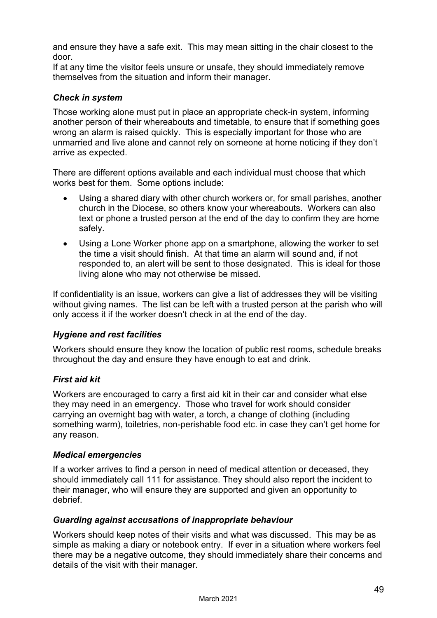and ensure they have a safe exit. This may mean sitting in the chair closest to the door.

If at any time the visitor feels unsure or unsafe, they should immediately remove themselves from the situation and inform their manager.

#### *Check in system*

Those working alone must put in place an appropriate check-in system, informing another person of their whereabouts and timetable, to ensure that if something goes wrong an alarm is raised quickly. This is especially important for those who are unmarried and live alone and cannot rely on someone at home noticing if they don't arrive as expected.

There are different options available and each individual must choose that which works best for them. Some options include:

- Using a shared diary with other church workers or, for small parishes, another church in the Diocese, so others know your whereabouts. Workers can also text or phone a trusted person at the end of the day to confirm they are home safely.
- Using a Lone Worker phone app on a smartphone, allowing the worker to set the time a visit should finish. At that time an alarm will sound and, if not responded to, an alert will be sent to those designated. This is ideal for those living alone who may not otherwise be missed.

If confidentiality is an issue, workers can give a list of addresses they will be visiting without giving names. The list can be left with a trusted person at the parish who will only access it if the worker doesn't check in at the end of the day.

#### *Hygiene and rest facilities*

Workers should ensure they know the location of public rest rooms, schedule breaks throughout the day and ensure they have enough to eat and drink.

#### *First aid kit*

Workers are encouraged to carry a first aid kit in their car and consider what else they may need in an emergency. Those who travel for work should consider carrying an overnight bag with water, a torch, a change of clothing (including something warm), toiletries, non-perishable food etc. in case they can't get home for any reason.

#### *Medical emergencies*

If a worker arrives to find a person in need of medical attention or deceased, they should immediately call 111 for assistance. They should also report the incident to their manager, who will ensure they are supported and given an opportunity to debrief.

#### *Guarding against accusations of inappropriate behaviour*

Workers should keep notes of their visits and what was discussed. This may be as simple as making a diary or notebook entry. If ever in a situation where workers feel there may be a negative outcome, they should immediately share their concerns and details of the visit with their manager.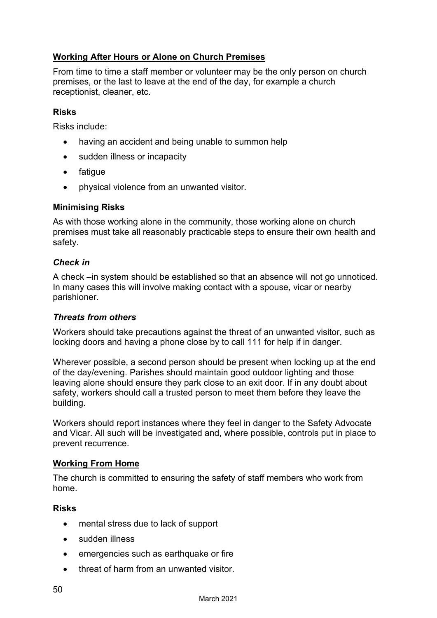#### **Working After Hours or Alone on Church Premises**

From time to time a staff member or volunteer may be the only person on church premises, or the last to leave at the end of the day, for example a church receptionist, cleaner, etc.

#### **Risks**

Risks include:

- having an accident and being unable to summon help
- sudden illness or incapacity
- fatigue
- physical violence from an unwanted visitor.

#### **Minimising Risks**

As with those working alone in the community, those working alone on church premises must take all reasonably practicable steps to ensure their own health and safety.

#### *Check in*

A check –in system should be established so that an absence will not go unnoticed. In many cases this will involve making contact with a spouse, vicar or nearby parishioner.

#### *Threats from others*

Workers should take precautions against the threat of an unwanted visitor, such as locking doors and having a phone close by to call 111 for help if in danger.

Wherever possible, a second person should be present when locking up at the end of the day/evening. Parishes should maintain good outdoor lighting and those leaving alone should ensure they park close to an exit door. If in any doubt about safety, workers should call a trusted person to meet them before they leave the building.

Workers should report instances where they feel in danger to the Safety Advocate and Vicar. All such will be investigated and, where possible, controls put in place to prevent recurrence.

#### **Working From Home**

The church is committed to ensuring the safety of staff members who work from home.

#### **Risks**

- mental stress due to lack of support
- sudden illness
- emergencies such as earthquake or fire
- threat of harm from an unwanted visitor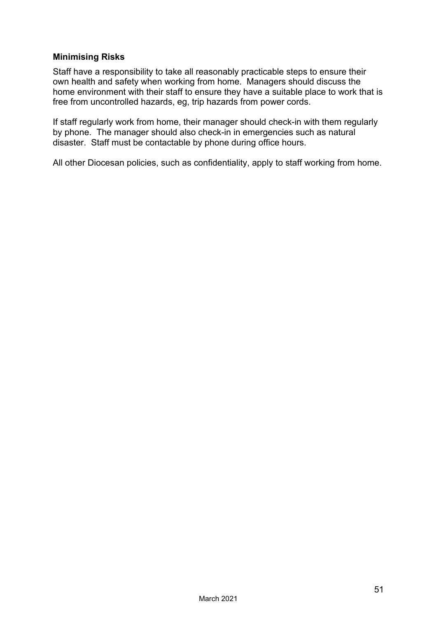#### **Minimising Risks**

Staff have a responsibility to take all reasonably practicable steps to ensure their own health and safety when working from home. Managers should discuss the home environment with their staff to ensure they have a suitable place to work that is free from uncontrolled hazards, eg, trip hazards from power cords.

If staff regularly work from home, their manager should check-in with them regularly by phone. The manager should also check-in in emergencies such as natural disaster. Staff must be contactable by phone during office hours.

All other Diocesan policies, such as confidentiality, apply to staff working from home.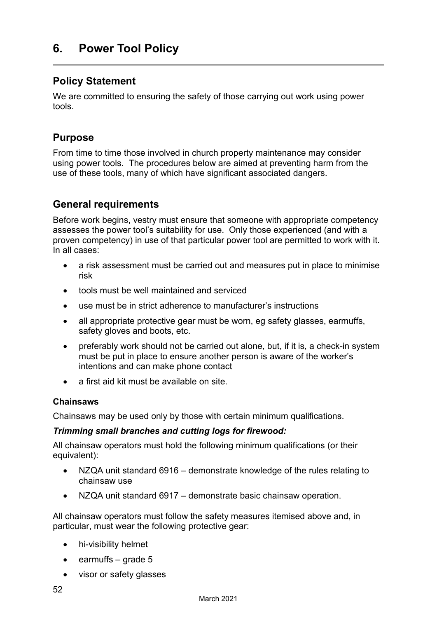### <span id="page-53-0"></span>**6. Power Tool Policy**

#### **Policy Statement**

We are committed to ensuring the safety of those carrying out work using power tools.

#### **Purpose**

From time to time those involved in church property maintenance may consider using power tools. The procedures below are aimed at preventing harm from the use of these tools, many of which have significant associated dangers.

#### **General requirements**

Before work begins, vestry must ensure that someone with appropriate competency assesses the power tool's suitability for use. Only those experienced (and with a proven competency) in use of that particular power tool are permitted to work with it. In all cases:

- a risk assessment must be carried out and measures put in place to minimise risk
- tools must be well maintained and serviced
- use must be in strict adherence to manufacturer's instructions
- all appropriate protective gear must be worn, eg safety glasses, earmuffs, safety gloves and boots, etc.
- preferably work should not be carried out alone, but, if it is, a check-in system must be put in place to ensure another person is aware of the worker's intentions and can make phone contact
- a first aid kit must be available on site.

#### **Chainsaws**

Chainsaws may be used only by those with certain minimum qualifications.

#### *Trimming small branches and cutting logs for firewood:*

All chainsaw operators must hold the following minimum qualifications (or their equivalent):

- NZQA unit standard 6916 demonstrate knowledge of the rules relating to chainsaw use
- NZQA unit standard 6917 demonstrate basic chainsaw operation.

All chainsaw operators must follow the safety measures itemised above and, in particular, must wear the following protective gear:

- hi-visibility helmet
- earmuffs grade 5
- visor or safety glasses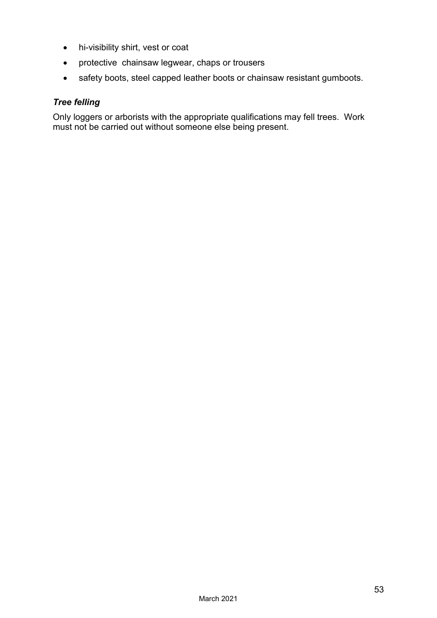- hi-visibility shirt, vest or coat
- protective chainsaw legwear, chaps or trousers
- safety boots, steel capped leather boots or chainsaw resistant gumboots.

#### *Tree felling*

Only loggers or arborists with the appropriate qualifications may fell trees. Work must not be carried out without someone else being present.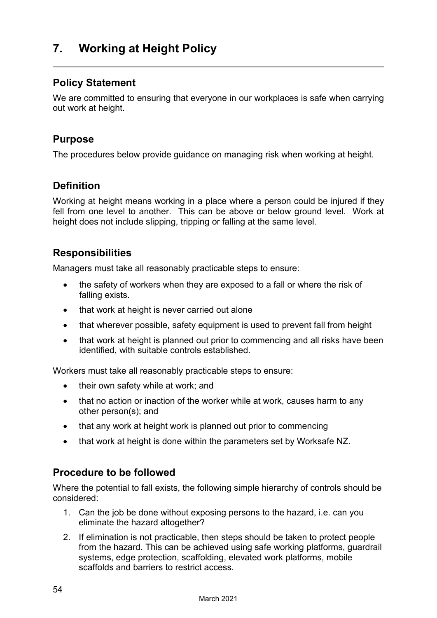### <span id="page-55-0"></span>**7. Working at Height Policy**

### **Policy Statement**

We are committed to ensuring that everyone in our workplaces is safe when carrying out work at height.

#### **Purpose**

The procedures below provide guidance on managing risk when working at height.

### **Definition**

Working at height means working in a place where a person could be injured if they fell from one level to another. This can be above or below ground level. Work at height does not include slipping, tripping or falling at the same level.

### **Responsibilities**

Managers must take all reasonably practicable steps to ensure:

- the safety of workers when they are exposed to a fall or where the risk of falling exists.
- that work at height is never carried out alone
- that wherever possible, safety equipment is used to prevent fall from height
- that work at height is planned out prior to commencing and all risks have been identified, with suitable controls established.

Workers must take all reasonably practicable steps to ensure:

- their own safety while at work; and
- that no action or inaction of the worker while at work, causes harm to any other person(s); and
- that any work at height work is planned out prior to commencing
- that work at height is done within the parameters set by Worksafe NZ.

### **Procedure to be followed**

Where the potential to fall exists, the following simple hierarchy of controls should be considered:

- 1. Can the job be done without exposing persons to the hazard, i.e. can you eliminate the hazard altogether?
- 2. If elimination is not practicable, then steps should be taken to protect people from the hazard. This can be achieved using safe working platforms, guardrail systems, edge protection, scaffolding, elevated work platforms, mobile scaffolds and barriers to restrict access.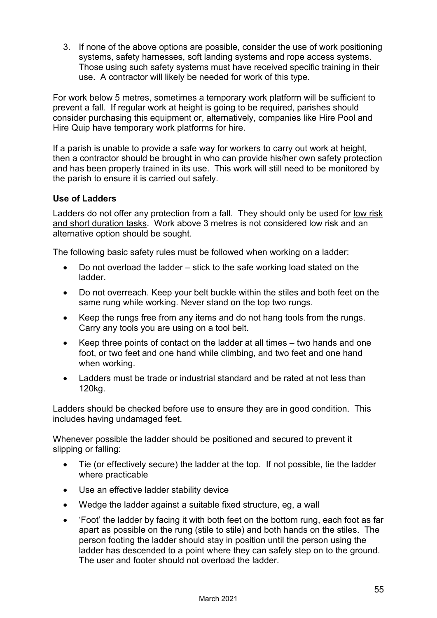3. If none of the above options are possible, consider the use of work positioning systems, safety harnesses, soft landing systems and rope access systems. Those using such safety systems must have received specific training in their use. A contractor will likely be needed for work of this type.

For work below 5 metres, sometimes a temporary work platform will be sufficient to prevent a fall. If regular work at height is going to be required, parishes should consider purchasing this equipment or, alternatively, companies like Hire Pool and Hire Quip have temporary work platforms for hire.

If a parish is unable to provide a safe way for workers to carry out work at height, then a contractor should be brought in who can provide his/her own safety protection and has been properly trained in its use. This work will still need to be monitored by the parish to ensure it is carried out safely.

#### **Use of Ladders**

Ladders do not offer any protection from a fall. They should only be used for low risk and short duration tasks. Work above 3 metres is not considered low risk and an alternative option should be sought.

The following basic safety rules must be followed when working on a ladder:

- Do not overload the ladder stick to the safe working load stated on the ladder.
- Do not overreach. Keep your belt buckle within the stiles and both feet on the same rung while working. Never stand on the top two rungs.
- Keep the rungs free from any items and do not hang tools from the rungs. Carry any tools you are using on a tool belt.
- Keep three points of contact on the ladder at all times two hands and one foot, or two feet and one hand while climbing, and two feet and one hand when working.
- Ladders must be trade or industrial standard and be rated at not less than 120kg.

Ladders should be checked before use to ensure they are in good condition. This includes having undamaged feet.

Whenever possible the ladder should be positioned and secured to prevent it slipping or falling:

- Tie (or effectively secure) the ladder at the top. If not possible, tie the ladder where practicable
- Use an effective ladder stability device
- Wedge the ladder against a suitable fixed structure, eg, a wall
- 'Foot' the ladder by facing it with both feet on the bottom rung, each foot as far apart as possible on the rung (stile to stile) and both hands on the stiles. The person footing the ladder should stay in position until the person using the ladder has descended to a point where they can safely step on to the ground. The user and footer should not overload the ladder.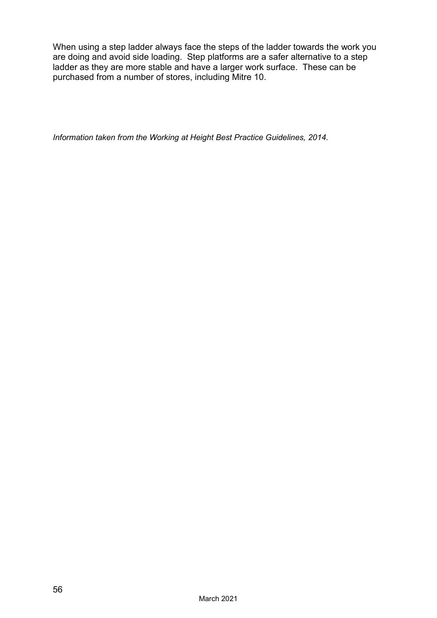When using a step ladder always face the steps of the ladder towards the work you are doing and avoid side loading. Step platforms are a safer alternative to a step ladder as they are more stable and have a larger work surface. These can be purchased from a number of stores, including Mitre 10.

*Information taken from the Working at Height Best Practice Guidelines, 2014*.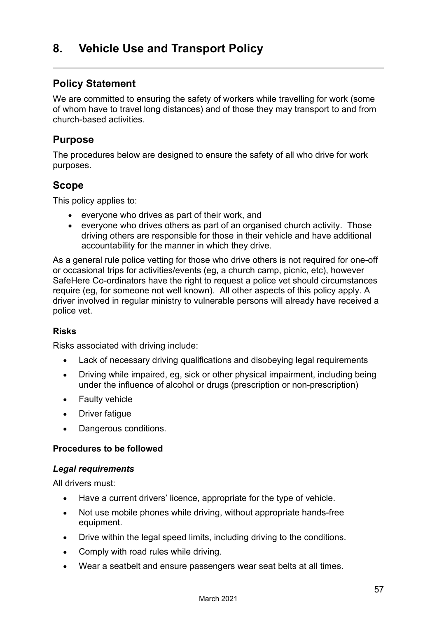### <span id="page-58-0"></span>**8. Vehicle Use and Transport Policy**

### **Policy Statement**

We are committed to ensuring the safety of workers while travelling for work (some of whom have to travel long distances) and of those they may transport to and from church-based activities.

#### **Purpose**

The procedures below are designed to ensure the safety of all who drive for work purposes.

#### **Scope**

This policy applies to:

- everyone who drives as part of their work, and
- everyone who drives others as part of an organised church activity. Those driving others are responsible for those in their vehicle and have additional accountability for the manner in which they drive.

As a general rule police vetting for those who drive others is not required for one-off or occasional trips for activities/events (eg, a church camp, picnic, etc), however SafeHere Co-ordinators have the right to request a police vet should circumstances require (eg, for someone not well known). All other aspects of this policy apply. A driver involved in regular ministry to vulnerable persons will already have received a police vet.

#### **Risks**

Risks associated with driving include:

- Lack of necessary driving qualifications and disobeying legal requirements
- Driving while impaired, eg, sick or other physical impairment, including being under the influence of alcohol or drugs (prescription or non-prescription)
- Faulty vehicle
- Driver fatigue
- Dangerous conditions.

#### **Procedures to be followed**

#### *Legal requirements*

All drivers must:

- Have a current drivers' licence, appropriate for the type of vehicle.
- Not use mobile phones while driving, without appropriate hands-free equipment.
- Drive within the legal speed limits, including driving to the conditions.
- Comply with road rules while driving.
- Wear a seatbelt and ensure passengers wear seat belts at all times.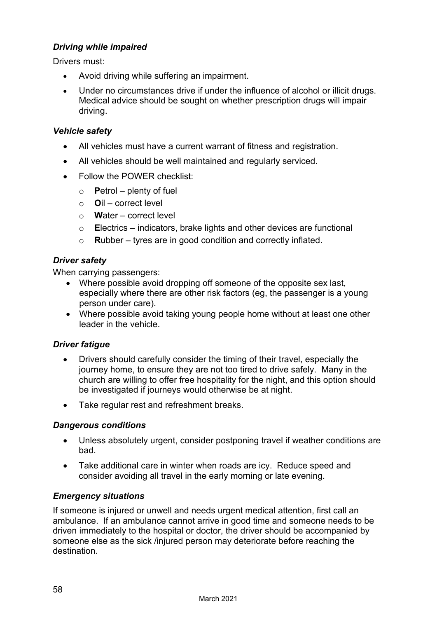#### *Driving while impaired*

Drivers must:

- Avoid driving while suffering an impairment.
- Under no circumstances drive if under the influence of alcohol or illicit drugs. Medical advice should be sought on whether prescription drugs will impair driving.

#### *Vehicle safety*

- All vehicles must have a current warrant of fitness and registration.
- All vehicles should be well maintained and regularly serviced.
- Follow the POWER checklist:
	- o **P**etrol plenty of fuel
	- o **O**il correct level
	- o **W**ater correct level
	- o **E**lectrics indicators, brake lights and other devices are functional
	- o **R**ubber tyres are in good condition and correctly inflated.

#### *Driver safety*

When carrying passengers:

- Where possible avoid dropping off someone of the opposite sex last, especially where there are other risk factors (eg, the passenger is a young person under care).
- Where possible avoid taking young people home without at least one other leader in the vehicle.

#### *Driver fatigue*

- Drivers should carefully consider the timing of their travel, especially the journey home, to ensure they are not too tired to drive safely. Many in the church are willing to offer free hospitality for the night, and this option should be investigated if journeys would otherwise be at night.
- Take regular rest and refreshment breaks.

#### *Dangerous conditions*

- Unless absolutely urgent, consider postponing travel if weather conditions are bad.
- Take additional care in winter when roads are icy. Reduce speed and consider avoiding all travel in the early morning or late evening.

#### *Emergency situations*

If someone is injured or unwell and needs urgent medical attention, first call an ambulance. If an ambulance cannot arrive in good time and someone needs to be driven immediately to the hospital or doctor, the driver should be accompanied by someone else as the sick /injured person may deteriorate before reaching the destination.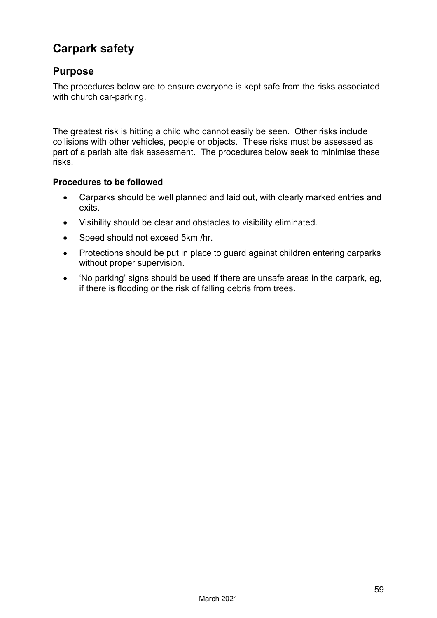# **Carpark safety**

### **Purpose**

The procedures below are to ensure everyone is kept safe from the risks associated with church car-parking.

The greatest risk is hitting a child who cannot easily be seen. Other risks include collisions with other vehicles, people or objects. These risks must be assessed as part of a parish site risk assessment. The procedures below seek to minimise these risks.

#### **Procedures to be followed**

- Carparks should be well planned and laid out, with clearly marked entries and exits.
- Visibility should be clear and obstacles to visibility eliminated.
- Speed should not exceed 5km /hr.
- Protections should be put in place to guard against children entering carparks without proper supervision.
- 'No parking' signs should be used if there are unsafe areas in the carpark, eg, if there is flooding or the risk of falling debris from trees.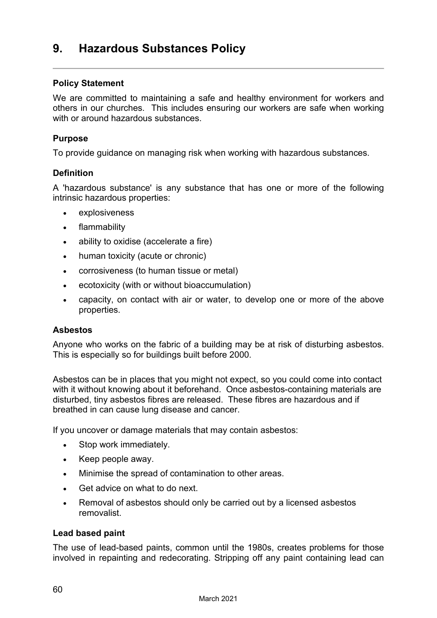### <span id="page-61-0"></span>**9. Hazardous Substances Policy**

#### **Policy Statement**

We are committed to maintaining a safe and healthy environment for workers and others in our churches. This includes ensuring our workers are safe when working with or around hazardous substances

#### **Purpose**

To provide guidance on managing risk when working with hazardous substances.

#### **Definition**

A 'hazardous substance' is any substance that has one or more of the following intrinsic hazardous properties:

- explosiveness
- flammability
- ability to oxidise (accelerate a fire)
- human toxicity (acute or chronic)
- corrosiveness (to human tissue or metal)
- ecotoxicity (with or without bioaccumulation)
- capacity, on contact with air or water, to develop one or more of the above properties.

#### **Asbestos**

Anyone who works on the fabric of a building may be at risk of disturbing asbestos. This is especially so for buildings built before 2000.

Asbestos can be in places that you might not expect, so you could come into contact with it without knowing about it beforehand. Once asbestos-containing materials are disturbed, tiny asbestos fibres are released. These fibres are hazardous and if breathed in can cause lung disease and cancer.

If you uncover or damage materials that may contain asbestos:

- Stop work immediately.
- Keep people away.
- Minimise the spread of contamination to other areas.
- Get advice on what to do next.
- Removal of asbestos should only be carried out by a licensed asbestos removalist.

#### **Lead based paint**

The use of lead-based paints, common until the 1980s, creates problems for those involved in repainting and redecorating. Stripping off any paint containing lead can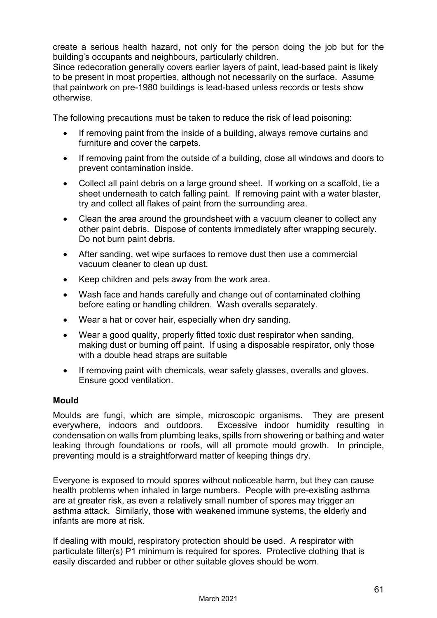create a serious health hazard, not only for the person doing the job but for the building's occupants and neighbours, particularly children.

Since redecoration generally covers earlier layers of paint, lead-based paint is likely to be present in most properties, although not necessarily on the surface. Assume that paintwork on pre-1980 buildings is lead-based unless records or tests show otherwise.

The following precautions must be taken to reduce the risk of lead poisoning:

- If removing paint from the inside of a building, always remove curtains and furniture and cover the carpets.
- If removing paint from the outside of a building, close all windows and doors to prevent contamination inside.
- Collect all paint debris on a large ground sheet. If working on a scaffold, tie a sheet underneath to catch falling paint. If removing paint with a water blaster, try and collect all flakes of paint from the surrounding area.
- Clean the area around the groundsheet with a vacuum cleaner to collect any other paint debris. Dispose of contents immediately after wrapping securely. Do not burn paint debris.
- After sanding, wet wipe surfaces to remove dust then use a commercial vacuum cleaner to clean up dust.
- Keep children and pets away from the work area.
- Wash face and hands carefully and change out of contaminated clothing before eating or handling children. Wash overalls separately.
- Wear a hat or cover hair, especially when dry sanding.
- Wear a good quality, properly fitted toxic dust respirator when sanding, making dust or burning off paint. If using a disposable respirator, only those with a double head straps are suitable
- If removing paint with chemicals, wear safety glasses, overalls and gloves. Ensure good ventilation.

#### **Mould**

Moulds are fungi, which are simple, microscopic organisms. They are present everywhere, indoors and outdoors. Excessive indoor humidity resulting in Excessive indoor humidity resulting in condensation on walls from plumbing leaks, spills from showering or bathing and water leaking through foundations or roofs, will all promote mould growth. In principle, preventing mould is a straightforward matter of keeping things dry.

Everyone is exposed to mould spores without noticeable harm, but they can cause health problems when inhaled in large numbers. People with pre-existing asthma are at greater risk, as even a relatively small number of spores may trigger an asthma attack. Similarly, those with weakened immune systems, the elderly and infants are more at risk.

If dealing with mould, respiratory protection should be used. A respirator with particulate filter(s) P1 minimum is required for spores. Protective clothing that is easily discarded and rubber or other suitable gloves should be worn.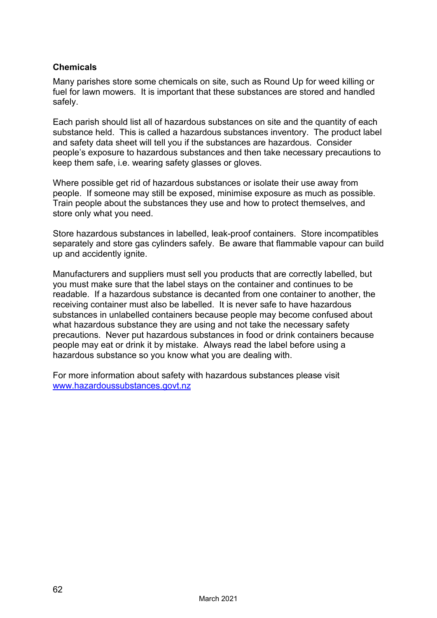#### **Chemicals**

Many parishes store some chemicals on site, such as Round Up for weed killing or fuel for lawn mowers. It is important that these substances are stored and handled safely.

Each parish should list all of hazardous substances on site and the quantity of each substance held. This is called a hazardous substances inventory. The product label and safety data sheet will tell you if the substances are hazardous. Consider people's exposure to hazardous substances and then take necessary precautions to keep them safe, i.e. wearing safety glasses or gloves.

Where possible get rid of hazardous substances or isolate their use away from people. If someone may still be exposed, minimise exposure as much as possible. Train people about the substances they use and how to protect themselves, and store only what you need.

Store hazardous substances in labelled, leak-proof containers. Store incompatibles separately and store gas cylinders safely. Be aware that flammable vapour can build up and accidently ignite.

Manufacturers and suppliers must sell you products that are correctly labelled, but you must make sure that the label stays on the container and continues to be readable. If a hazardous substance is decanted from one container to another, the receiving container must also be labelled. It is never safe to have hazardous substances in unlabelled containers because people may become confused about what hazardous substance they are using and not take the necessary safety precautions. Never put hazardous substances in food or drink containers because people may eat or drink it by mistake. Always read the label before using a hazardous substance so you know what you are dealing with.

For more information about safety with hazardous substances please visit [www.hazardoussubstances.govt.nz](http://www.hazardoussubstances.govt.nz/)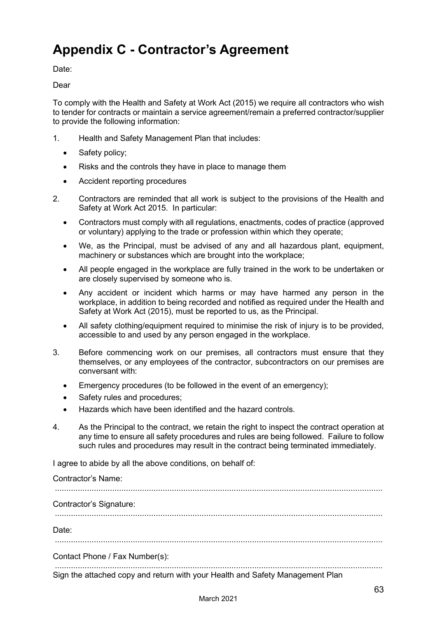# <span id="page-64-0"></span>**Appendix C - Contractor's Agreement**

Date:

Dear

To comply with the Health and Safety at Work Act (2015) we require all contractors who wish to tender for contracts or maintain a service agreement/remain a preferred contractor/supplier to provide the following information:

- 1. Health and Safety Management Plan that includes:
	- Safety policy;
	- Risks and the controls they have in place to manage them
	- Accident reporting procedures
- 2. Contractors are reminded that all work is subject to the provisions of the Health and Safety at Work Act 2015. In particular:
	- Contractors must comply with all regulations, enactments, codes of practice (approved or voluntary) applying to the trade or profession within which they operate;
	- We, as the Principal, must be advised of any and all hazardous plant, equipment, machinery or substances which are brought into the workplace;
	- All people engaged in the workplace are fully trained in the work to be undertaken or are closely supervised by someone who is.
	- Any accident or incident which harms or may have harmed any person in the workplace, in addition to being recorded and notified as required under the Health and Safety at Work Act (2015), must be reported to us, as the Principal.
	- All safety clothing/equipment required to minimise the risk of injury is to be provided, accessible to and used by any person engaged in the workplace.
- 3. Before commencing work on our premises, all contractors must ensure that they themselves, or any employees of the contractor, subcontractors on our premises are conversant with:
	- Emergency procedures (to be followed in the event of an emergency);
	- Safety rules and procedures;
	- Hazards which have been identified and the hazard controls.
- 4. As the Principal to the contract, we retain the right to inspect the contract operation at any time to ensure all safety procedures and rules are being followed. Failure to follow such rules and procedures may result in the contract being terminated immediately.

I agree to abide by all the above conditions, on behalf of:

Contractor's Name:

...............................................................................................................................................

Contractor's Signature:

...............................................................................................................................................

Date:

...............................................................................................................................................

Contact Phone / Fax Number(s):

............................................................................................................................................... Sign the attached copy and return with your Health and Safety Management Plan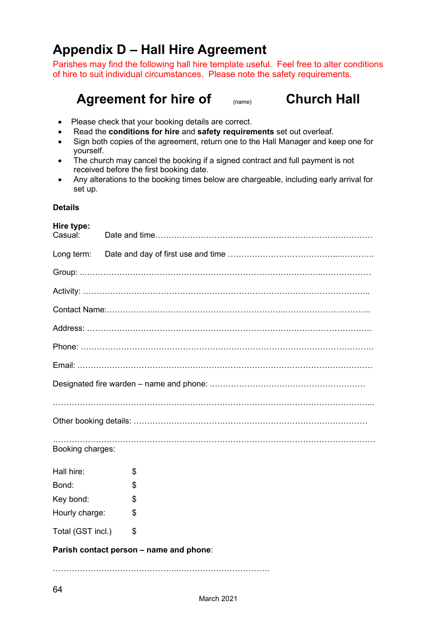# <span id="page-65-0"></span>**Appendix D – Hall Hire Agreement**

Parishes may find the following hall hire template useful. Feel free to alter conditions of hire to suit individual circumstances. Please note the safety requirements.

# Agreement for hire of (name) **Church Hall**

- Please check that your booking details are correct.
- Read the **conditions for hire** and **safety requirements** set out overleaf.
- Sign both copies of the agreement, return one to the Hall Manager and keep one for yourself.
- The church may cancel the booking if a signed contract and full payment is not received before the first booking date.
- Any alterations to the booking times below are chargeable, including early arrival for set up.

#### **Details**

| Hire type:<br>Casual:                   |    |  |  |  |  |
|-----------------------------------------|----|--|--|--|--|
|                                         |    |  |  |  |  |
|                                         |    |  |  |  |  |
|                                         |    |  |  |  |  |
|                                         |    |  |  |  |  |
|                                         |    |  |  |  |  |
|                                         |    |  |  |  |  |
|                                         |    |  |  |  |  |
|                                         |    |  |  |  |  |
|                                         |    |  |  |  |  |
|                                         |    |  |  |  |  |
| Booking charges:                        |    |  |  |  |  |
| Hall hire:                              | \$ |  |  |  |  |
| Bond:                                   | \$ |  |  |  |  |
| Key bond:                               | \$ |  |  |  |  |
| Hourly charge:                          | \$ |  |  |  |  |
| Total (GST incl.)                       | \$ |  |  |  |  |
| Parish contact person - name and phone: |    |  |  |  |  |

………………………………………..…………………………….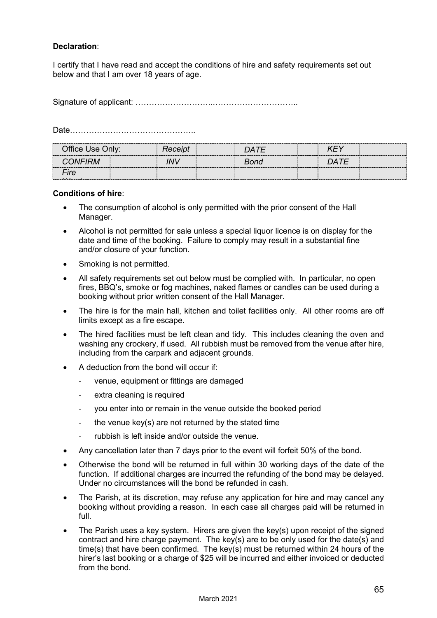#### **Declaration**:

I certify that I have read and accept the conditions of hire and safety requirements set out below and that I am over 18 years of age.

Signature of applicant: ………………………..…………………………..

Date………………………………………..

| Office Use Only: |  | Receipt              | DATE                      |      |  |
|------------------|--|----------------------|---------------------------|------|--|
| <b>CONFIRM</b>   |  | INIV<br>------------ | Bond<br>----------------- | DATE |  |
| Fire             |  |                      |                           |      |  |
|                  |  |                      |                           |      |  |

#### **Conditions of hire**:

- The consumption of alcohol is only permitted with the prior consent of the Hall Manager.
- Alcohol is not permitted for sale unless a special liquor licence is on display for the date and time of the booking. Failure to comply may result in a substantial fine and/or closure of your function.
- Smoking is not permitted.
- All safety requirements set out below must be complied with. In particular, no open fires, BBQ's, smoke or fog machines, naked flames or candles can be used during a booking without prior written consent of the Hall Manager.
- The hire is for the main hall, kitchen and toilet facilities only. All other rooms are off limits except as a fire escape.
- The hired facilities must be left clean and tidy. This includes cleaning the oven and washing any crockery, if used. All rubbish must be removed from the venue after hire, including from the carpark and adjacent grounds.
- A deduction from the bond will occur if:
	- venue, equipment or fittings are damaged
	- extra cleaning is required
	- you enter into or remain in the venue outside the booked period
	- the venue key(s) are not returned by the stated time
	- rubbish is left inside and/or outside the venue.
- Any cancellation later than 7 days prior to the event will forfeit 50% of the bond.
- Otherwise the bond will be returned in full within 30 working days of the date of the function. If additional charges are incurred the refunding of the bond may be delayed. Under no circumstances will the bond be refunded in cash.
- The Parish, at its discretion, may refuse any application for hire and may cancel any booking without providing a reason. In each case all charges paid will be returned in full.
- The Parish uses a key system. Hirers are given the key(s) upon receipt of the signed contract and hire charge payment. The key(s) are to be only used for the date(s) and time(s) that have been confirmed. The key(s) must be returned within 24 hours of the hirer's last booking or a charge of \$25 will be incurred and either invoiced or deducted from the bond.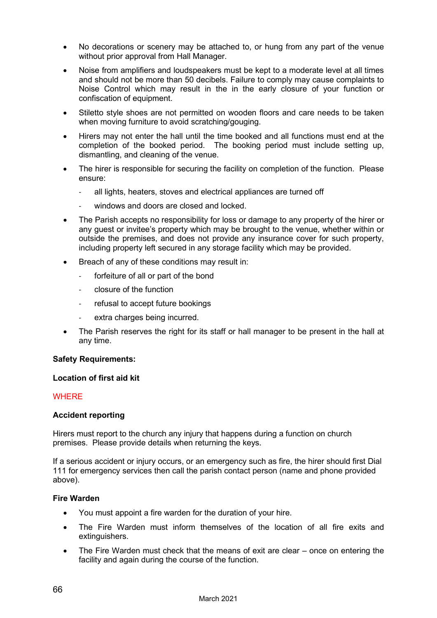- No decorations or scenery may be attached to, or hung from any part of the venue without prior approval from Hall Manager.
- Noise from amplifiers and loudspeakers must be kept to a moderate level at all times and should not be more than 50 decibels. Failure to comply may cause complaints to Noise Control which may result in the in the early closure of your function or confiscation of equipment.
- Stiletto style shoes are not permitted on wooden floors and care needs to be taken when moving furniture to avoid scratching/gouging.
- Hirers may not enter the hall until the time booked and all functions must end at the completion of the booked period. The booking period must include setting up, dismantling, and cleaning of the venue.
- The hirer is responsible for securing the facility on completion of the function. Please ensure:
	- all lights, heaters, stoves and electrical appliances are turned off
	- windows and doors are closed and locked.
- The Parish accepts no responsibility for loss or damage to any property of the hirer or any guest or invitee's property which may be brought to the venue, whether within or outside the premises, and does not provide any insurance cover for such property, including property left secured in any storage facility which may be provided.
- Breach of any of these conditions may result in:
	- forfeiture of all or part of the bond
	- closure of the function
	- refusal to accept future bookings
	- extra charges being incurred.
- The Parish reserves the right for its staff or hall manager to be present in the hall at any time.

#### **Safety Requirements:**

#### **Location of first aid kit**

#### **WHERE**

#### **Accident reporting**

Hirers must report to the church any injury that happens during a function on church premises. Please provide details when returning the keys.

If a serious accident or injury occurs, or an emergency such as fire, the hirer should first Dial 111 for emergency services then call the parish contact person (name and phone provided above).

#### **Fire Warden**

- You must appoint a fire warden for the duration of your hire.
- The Fire Warden must inform themselves of the location of all fire exits and extinguishers.
- The Fire Warden must check that the means of exit are clear once on entering the facility and again during the course of the function.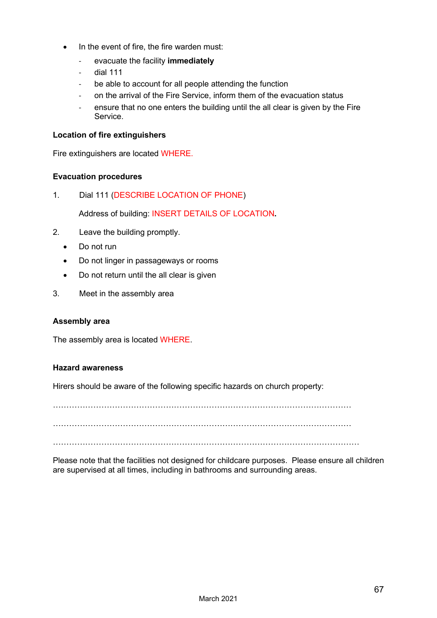- In the event of fire, the fire warden must:
	- evacuate the facility **immediately**
	- dial 111
	- be able to account for all people attending the function
	- on the arrival of the Fire Service, inform them of the evacuation status
	- ensure that no one enters the building until the all clear is given by the Fire Service.

#### **Location of fire extinguishers**

Fire extinguishers are located WHERE.

#### **Evacuation procedures**

1. Dial 111 (DESCRIBE LOCATION OF PHONE)

Address of building: INSERT DETAILS OF LOCATION**.**

- 2. Leave the building promptly.
	- Do not run
	- Do not linger in passageways or rooms
	- Do not return until the all clear is given
- 3. Meet in the assembly area

#### **Assembly area**

The assembly area is located WHERE.

#### **Hazard awareness**

Hirers should be aware of the following specific hazards on church property:

…………………………………………………………………………………………………

…………………………………………………………………………………………………

……………………………………………………………………………………………………

Please note that the facilities not designed for childcare purposes. Please ensure all children are supervised at all times, including in bathrooms and surrounding areas.